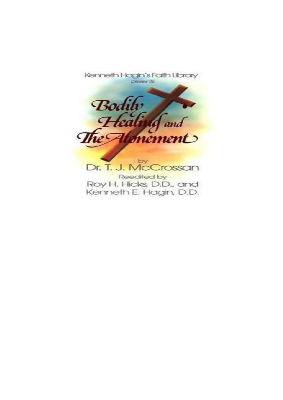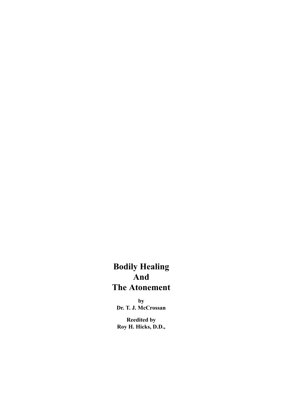# **Bodily Healing And The Atonement**

**by Dr. T. J. McCrossan**

**Reedited by Roy H. Hicks, D.D.,**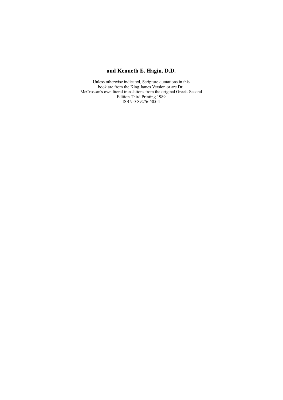## **and Kenneth E. Hagin, D.D.**

Unless otherwise indicated, Scripture quotations in this book are from the King James Version or are Dr. McCrossan's own literal translations from the original Greek. Second Edition Third Printing 1989 ISBN 0-89276-505-4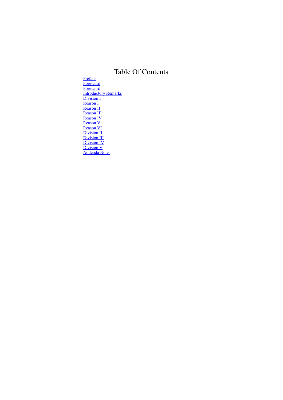# Table Of Contents

Preface Foreword Foreword **Introductory Remarks** Division I Reason I Reason II Reason III Reason IV Reason V Reason VI Division II Division III Division IV Division V Addenda Notes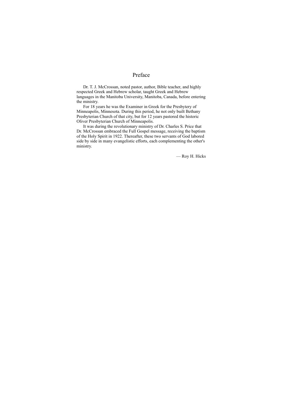### Preface

Dr. T. J. McCrossan, noted pastor, author, Bible teacher, and highly respected Greek and Hebrew scholar, taught Greek and Hebrew languages in the Manitoba University, Manitoba, Canada, before entering the ministry.

For 18 years he was the Examiner in Greek for the Presbytery of Minneapolis, Minnesota. During this period, he not only built Bethany Presbyterian Church of that city, but for 12 years pastored the historic Oliver Presbyterian Church of Minneapolis.

It was during the revolutionary ministry of Dr. Charles S. Price that Dr. McCrossan embraced the Full Gospel message, receiving the baptism of the Holy Spirit in 1922. Thereafter, these two servants of God labored side by side in many evangelistic efforts, each complementing the other's ministry.

— Roy H. Hicks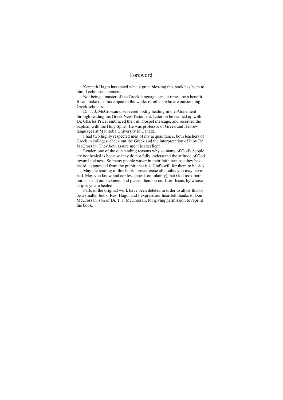### Foreword

Kenneth Hagin has stated what a great blessing this book has been to him. I echo his statement.

Not being a master of the Greek language can, at times, be a benefit. It can make one more open to the works of others who are outstanding Greek scholars.

Dr. T. J. McCrossan discovered bodily healing in the Atonement through reading his Greek New Testament. Later on he teamed up with Dr. Charles Price, embraced the Full Gospel message, and received the baptism with the Holy Spirit. He was professor of Greek and Hebrew languages at Manitoba University in Canada.

I had two highly respected men of my acquaintance, both teachers of Greek in colleges, check out the Greek and the interpretation of it by Dr. McCrossan. They both assure me it is excellent.

Reader, one of the outstanding reasons why so many of God's people are not healed is because they do not fully understand the attitude of God toward sickness. So many people waver in their faith because they have heard, expounded from the pulpit, that it is God's will for them to be sick.

May the reading of this book forever erase all doubts you may have had. May you know and confess (speak out plainly) that God took both our sins and our sickness, and placed them on our Lord Jesus, by whose stripes ye are healed.

Parts of the original work have been deleted in order to allow this to be a smaller book. Rev. Hagin and I express our heartfelt thanks to Don McCrossan, son of Dr. T. J. McCrossan, for giving permission to reprint the book.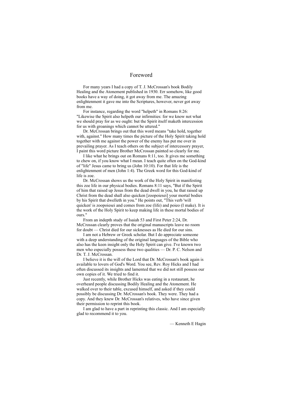#### Foreword

For many years I had a copy of T. J. McCrossan's book Bodily Healing and the Atonement published in 1930. Err somehow, like good books have a way of doing, it got away from me. The amazing enlightenment it gave me into the Scriptures, however, never got away from me.

For instance, regarding the word "helpeth" in Romans 8:26: "Likewise the Spirit also helpeth our infirmities: for we know not what we should pray for as we ought: but the Spirit itself maketh intercession for us with groanings which cannot be uttered."

Dr. McCrossan brings out that this word means "take hold, together with, against." How many times the picture of the Holy Spirit taking hold together with me against the power of the enemy has put me over in prevailing prayer. As I teach others on the subject of intercessory prayer, I paint this word picture Brother McCrossan painted so clearly for me.

I like what he brings out on Romans 8:11, too. It gives me something to chew on, if you know what I mean. I teach quite often on the God-kind of "life" Jesus came to bring us (John 10:10). For that life is the enlightenment of men (John 1:4). The Greek word for this God-kind of life is zoe.

Dr. McCrossan shows us the work of the Holy Spirit in manifesting this zoe life in our physical bodies. Romans 8:11 says, "But if the Spirit of him that raised up Jesus from the dead dwell in you, he that raised up Christ from the dead shall also quicken [zoopoiesei] your mortal bodies by his Spirit that dwelleth in you." He points out, "This verb 'will quicken' is zoopoiesei and comes from zoe (life) and poieo (I make). It is the work of the Holy Spirit to keep making life in these mortal bodies of ours."

From an indepth study of Isaiah 53 and First Peter 2:24, Dr. McCrossan clearly proves that the original manuscripts leave no room for doubt — Christ died for our sicknesses as He died for our sins.

I am not a Hebrew or Greek scholar. But I do appreciate someone with a deep understanding of the original languages of the Bible who also has the keen insight only the Holy Spirit can give. I've known two men who especially possess these two qualities — Dr. P. C. Nelson and Dr. T. J. McCrossan.

I believe it is the will of the Lord that Dr. McCrossan's book again is available to lovers of God's Word. You see, Rev. Roy Hicks and I had often discussed its insights and lamented that we did not still possess our own copies of it. We tried to find it.

Just recently, while Brother Hicks was eating in a restaurant, he overheard people discussing Bodily Healing and the Atonement. He walked over to their table, excused himself, and asked if they could possibly be discussing Dr. McCrossan's book. They were. They had a copy. And they knew Dr. McCrossan's relatives, who have since given their permission to reprint this book.

I am glad to have a part in reprinting this classic. And I am especially glad to recommend it to you.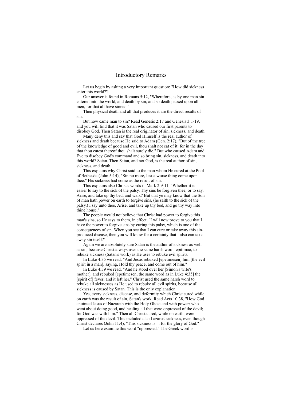#### Introductory Remarks

Let us begin by asking a very important question: "How did sickness enter this world?'1

Our answer is found in Romans 5:12, "Wherefore, as by one man sin entered into the world, and death by sin; and so death passed upon all men, for that all have sinned."

Then physical death and all that produces it are the direct results of sin.

But how came man to sin? Read Genesis 2:17 and Genesis 3:1-19, and you will find that it was Satan who caused our first parents to disobey God. Then Satan is the real originator of sin, sickness, and death.

Many deny this and say that God Himself is the real author of sickness and death because He said to Adam (Gen. 2:17), "But of the tree of the knowledge of good and evil, thou shalt not eat of it: for in the day that thou eatest thereof thou shalt surely die." But who caused Adam and Eve to disobey God's command and so bring sin, sickness, and death into this world? Satan. Then Satan, and not God, is the real author of sin, sickness, and death.

This explains why Christ said to the man whom He cured at the Pool of Bethesda (John 5:14), "Sin no more, lest a worse thing come upon thee." His sickness had come as the result of sin.

This explains also Christ's words in Mark 2:9-11, "Whether it is easier to say to the sick of the palsy, Thy sins be forgiven thee; or to say, Arise, and take up thy bed, and walk? But that ye may know that the Son of man hath power on earth to forgive sins, (he saith to the sick of the palsy,) I say unto thee, Arise, and take up thy bed, and go thy way into thine house."

The people would not believe that Christ had power to forgive this man's sins, so He says to them, in effect, "I will now prove to you that I have the power to forgive sins by curing this palsy, which is one of the consequences of sin. When you see that I can cure or take away this sinproduced disease, then you will know for a certainty that I also can take away sin itself."

Again we are absolutely sure Satan is the author of sickness as well as sin, because Christ always uses the same harsh word, epitimao, to rebuke sickness (Satan's work) as He uses to rebuke evil spirits.

In Luke 4:35 we read, "And Jesus rebuked [epetimesen] him [the evil spirit in a man], saying, Hold thy peace, and come out of him."

In Luke 4:39 we read, "And he stood over her [Simon's wife's mother], and rebuked [epetimesen, the same word as in Luke 4:35] the [spirit of] fever; and it left her." Christ used the same harsh word to rebuke all sicknesses as He used to rebuke all evil spirits, because all sickness is caused by Satan. This is the only explanation.

Yes, every sickness, disease, and deformity which Christ cured while on earth was the result of sin, Satan's work. Read Acts 10:38, "How God anointed Jesus of Nazareth with the Holy Ghost and with power: who went about doing good, and healing all that were oppressed of the devil; for God was with him." Then all Christ cured, while on earth, were oppressed of the devil. This included also Lazarus' sickness, even though Christ declares (John 11:4), "This sickness is ... for the glory of God."

Let us here examine this word "oppressed." The Greek word is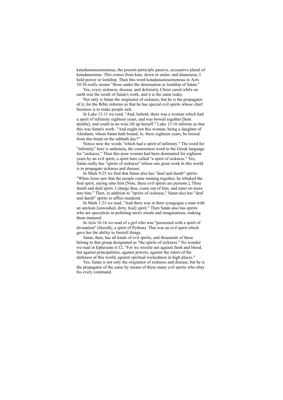katadunasteuomenous, the present participle passive, accusative plural of katadunasteuo. This comes from kata, down or under, and dunasteuo, I hold power or lordship. Then this word katadunasteuomenous in Acts 10:38 really means "those under the domination or lordship of Satan."

Yes, every sickness, disease, and deformity Christ cured while on earth was the result of Satan's work, and it is the same today.

Not only is Satan the originator of sickness, but he is the propagator of it, for the Bible informs us that he has special evil spirits whose chief business is to make people sick.

In Luke 13:11 we read, "And, behold, there was a woman which had a spirit of infirmity eighteen years, and was bowed together [bent double], and could in no wise lift up herself." Luke 13:16 informs us that this was Satan's work: "And ought not this woman, being a daughter of Abraham, whom Satan hath bound, lo, these eighteen years, be loosed from this bond on the sabbath day?"

Notice now the words "which had a spirit of infirmity." The word for "infirmity" here is astheneia, the commonest word in the Greek language for "sickness." Then this poor woman had been dominated for eighteen years by an evil spirit, a spirit here called "a spirit of sickness." Yes, Satan really has "spirits of sickness" whose one great work in this world is to propagate sickness and disease.

In Mark 9:25 we find that Satan also has "deaf and dumb" spirits: "When Jesus saw that the people came running together, he rebuked the foul spirit, saying unto him [Note, these evil spirits are persons.], Thou dumb and deaf spirit, I charge thee, come out of him, and enter no more into him." Then, in addition to "spirits of sickness," Satan also has "deaf and dumb" spirits to afflict mankind.

In Mark 1:23 we read, "And there was in their synagogue a man with an unclean [unwashed, dirty, foul] spirit." Then Satan also has spirits who are specialists in polluting men's minds and imaginations, making them immoral.

In Acts 16:16 we read of a girl who was "possessed with a spirit of divination" (literally, a spirit of Python). This was an evil spirit which gave her the ability to foretell things.

Satan, then, has all kinds of evil spirits, and thousands of these belong to that group designated as "the spirits of sickness." No wonder we read in Ephesians 6:12, "For we wrestle not against flesh and blood, but against principalities, against powers, against the rulers of the darkness of this world, against spiritual wickedness in high places."

Yes, Satan is not only the originator of sickness and disease, but he is the propagator of the same by means of these many evil spirits who obey his every command.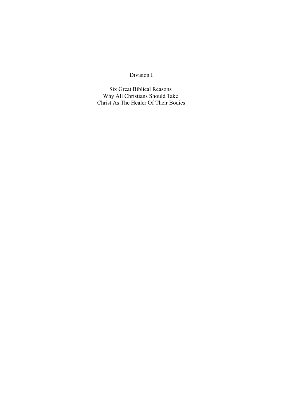## Division I

Six Great Biblical Reasons Why All Christians Should Take Christ As The Healer Of Their Bodies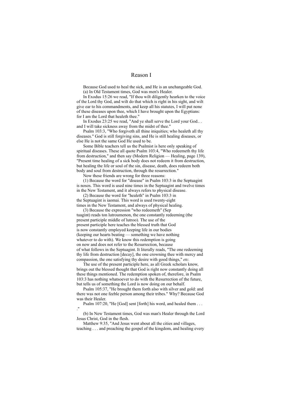#### Reason I

Because God used to heal the sick, and He is an unchangeable God. (a) In Old Testament times, God was men's Healer.

In Exodus 15:26 we read, "If thou wilt diligently hearken to the voice of the Lord thy God, and wilt do that which is right in his sight, and wilt give ear to his commandments, and keep all his statutes, I will put none of these diseases upon thee, which I have brought upon the Egyptians: for I am the Lord that healeth thee."

In Exodus 23:25 we read, "And ye shall serve the Lord your God.. . and I will take sickness away from the midst of thee."

Psalm 103:3, "Who forgiveth all thine iniquities; who healeth all thy diseases." God is still forgiving sins, and He is still healing diseases, or else He is not the same God He used to be.

Some Bible teachers tell us the Psalmist is here only speaking of spiritual diseases. These all quote Psalm 103:4, "Who redeemeth thy life from destruction," and then say (Modern Religion — Healing, page 139), "Present time healing of a sick body does not redeem it from destruction, but healing the life or soul of the sin, disease, death, does redeem both body and soul from destruction, through the resurrection."

Now these friends are wrong for three reasons:

(1) Because the word for "disease" in Psalm 103:3 in the Septuagint is nosos. This word is used nine times in the Septuagint and twelve times in the New Testament, and it always refers to physical disease.

(2) Because the word for "healeth" in Psalm 103:3 in the Septuagint is iaomai. This word is used twenty-eight times in the New Testament, and always of physical healing.

(3) Because the expression "who redeemeth" (Sep tuagint) reads ton lutroumenon, the one constantly redeeming (the present participle middle of lutroo). The use of the present participle here teaches the blessed truth that God is now constantly employed keeping life in our bodies (keeping our hearts beating — something we have nothing whatever to do with). We know this redemption is going on now and does not refer to the Resurrection, because of what follows in the Septuagint. It literally reads, "The one redeeming thy life from destruction [decay], the one crowning thee with mercy and compassion, the one satisfying thy desire with good things," *etc.*

The use of the present participle here, as all Greek scholars know, brings out the blessed thought that God is right now constantly doing all these things mentioned. The redemption spoken of, therefore, in Psalm 103:3 has nothing whatsoever to do with the Resurrection of the future, but tells us of something the Lord is now doing on our behalf.

Psalm 105:37, "He brought them forth also with silver and gold: and there was not one feeble person among their tribes." Why? Because God was their Healer.

Psalm 107:20, "He [God] sent [forth] his word, and healed them . . . ."

(b) In New Testament times, God was man's Healer through the Lord Jesus Christ, God in the flesh.

Matthew 9:35, "And Jesus went about all the cities and villages,

teaching . . . and preaching the gospel of the kingdom, and healing every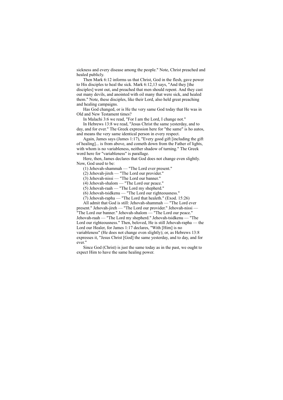sickness and every disease among the people." Note, Christ preached and healed publicly.

Then Mark 6:12 informs us that Christ, God in the flesh, gave power to His disciples to heal the sick. Mark 6:12,13 says, "And they [the disciples] went out, and preached that men should repent. And they cast out many devils, and anointed with oil many that were sick, and healed them." Note, these disciples, like their Lord, also held great preaching and healing campaigns.

Has God changed, or is He the very same God today that He was in Old and New Testament times?

In Malachi 3:6 we read, "For I am the Lord, I change not."

In Hebrews 13:8 we read, "Jesus Christ the same yesterday, and to day, and for ever." The Greek expression here for "the same" is ho autos, and means the very same identical person in every respect.

Again, James says (James 1:17), "Every good gift [including the gift of healing]... is from above, and cometh down from the Father of lights, with whom is no variableness, neither shadow of turning." The Greek word here for "variableness" is parallage.

Here, then, James declares that God does not change even slightly. Now, God used to be:

(1) Jehovah-shammah — "The Lord ever present."

(2) Jehovah-jireh — "The Lord our provider."

(3) Jehovah-nissi — "The Lord our banner."

(4) Jehovah-shalom — "The Lord our peace."

(5) Jehovah-raah — "The Lord my shepherd."

(6) Jehovah-tsidkenu — "The Lord our righteousness."

(7) Jehovah-rapha — "The Lord that healeth." (Exod. 15:26)

All admit that God is still: Jehovah-shammah — "The Lord ever present." Jehovah-jireh — "The Lord our provider." Jehovah-nissi — The Lord our banner." Jehovah-shalom — "The Lord our peace." Jehovah-raah — "The Lord my shepherd." Jehovah-tsidkenu — "The Lord our righteousness." Then, beloved, He is still Jehovah-rapha — the Lord our Healer, for James 1:17 declares, "With [Him] is no variableness" (He does not change even slightly); or, as Hebrews 13:8 expresses it, "Jesus Christ [God] the same yesterday, and to day, and for ever."

Since God (Christ) is just the same today as in the past, we ought to expect Him to have the same healing power.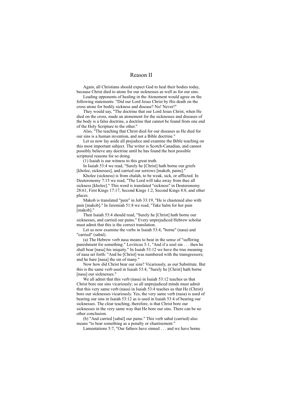## Reason II

Again, all Christians should expect God to heal their bodies today, because Christ died to atone for our sicknesses as well as for our sins.

Leading opponents of healing in the Atonement would agree on the following statements: "Did our Lord Jesus Christ by His death on the cross atone for bodily sickness and disease? No! Never!"

They would say, "The doctrine that our Lord Jesus Christ, when He died on the cross, made an atonement for the sicknesses and diseases of the body is a false doctrine, a doctrine that cannot be found from one end of the Holy Scripture to the other."

Also, "The teaching that Christ died for our diseases as He died for our sins is a human invention, and not a Bible doctrine."

Let us now lay aside all prejudice and examine the Bible teaching on this most important subject. The writer is Scotch-Canadian, and cannot possibly believe any doctrine until he has found the best possible scriptural reasons for so doing.

(1) Isaiah is our witness to this great truth.

In Isaiah 53:4 we read, "Surely he [Christ] hath borne our griefs [kholee, sicknesses], and carried our sorrows [makob, pains]."

Kholee (sickness) is from chalah, to be weak, sick, or afflicted. In Deuteronomy 7:15 we read, "The Lord will take away from thee all sickness [kholee]." This word is translated "sickness" in Deuteronomy 28:61, First Kings 17:17, Second Kings 1:2, Second Kings 8:8, and other places.

Makob is translated "pain" in Job 33:19, "He is chastened also with pain [makob]." In Jeremiah 51:8 we read, "Take balm for her pain [makob]."

Then Isaiah 53:4 should read, "Surely he [Christ] hath borne our sicknesses, and carried our pains." Every unprejudiced Hebrew scholar must admit that this is the correct translation.

Let us now examine the verbs in Isaiah 53:4, "borne" (nasa) and "carried" (sabal).

(a) The Hebrew verb nasa means to bear in the sense of "suffering punishment for something." Leviticus 5:1, "And if a soul sin . . . then he shall bear [nasa] his iniquity." In Isaiah 53:12 we have the true meaning of nasa set forth: "And he [Christ] was numbered with the transgressors; and he bare [nasa] the sin of many."

Now how did Christ bear our sins? Vicariously, as our Substitute. But this is the same verb used in Isaiah 53:4, "Surely he [Christ] hath borne [nasa] our sicknesses."

We all admit that this verb (nasa) in Isaiah 53:12 teaches us that Christ bore our sins vicariously; so all unprejudiced minds must admit that this very same verb (nasa) in Isaiah 53:4 teaches us that He (Christ) bore our sicknesses vicariously. Yes, the very same verb (nasa) is used of bearing our sins in Isaiah 53:12 as is used in Isaiah 53:4 of bearing our sicknesses. The clear teaching, therefore, is that Christ bore our sicknesses in the very same way that He bore our sins. There can be no other conclusion.

(b) "And carried [sabal] our pains." This verb sabal (carried) also means "to bear something as a penalty or chastisement."

Lamentations 5:7, "Our fathers have sinned . . . and we have borne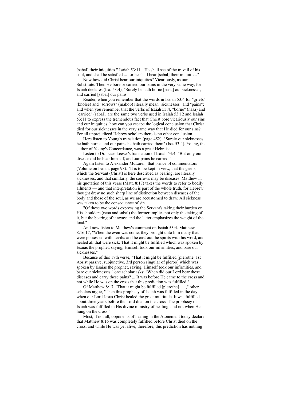[sabal] their iniquities." Isaiah 53:11, "He shall see of the travail of his soul, and shall be satisfied ... for he shall bear [sabal] their iniquities."

Now how did Christ bear our iniquities? Vicariously, as our Substitute. Then He bore or carried our pains in the very same way, for Isaiah declares (Isa. 53:4), "Surely he hath borne [nasa] our sicknesses, and carried [sabal] our pains."

Reader, when you remember that the words in Isaiah 53:4 for "griefs" (kholee) and "sorrows" (makob) literally mean "sicknesses" and "pains"; and when you remember that the verbs of Isaiah 53:4, "borne" (nasa) and "carried" (sabal), are the same two verbs used in Isaiah 53:12 and Isaiah 53:11 to express the tremendous fact that Christ bore vicariously our sins and our iniquities, how can you escape the logical conclusion that Christ died for our sicknesses in the very same way that He died for our sins? For all unprejudiced Hebrew scholars there is no other conclusion.

Here listen to Young's translation (page 452): "Surely our sicknesses he hath borne, and our pains he hath carried them" (Isa. 53:4). Young, the author of Young's Concordance, was a great Hebraist.

Listen to Dr. Isaac Leeser's translation of Isaiah 53:4: "But only our disease did he bear himself, and our pains he carried."

Again listen to Alexander McLaren, that prince of commentators (Volume on Isaiah, page 98): "It is to be kept in view, that the griefs, which the Servant (Christ) is here described as bearing, are literally sicknesses, and that similarly, the sorrows may be diseases. Matthew in his quotation of this verse (Matt. 8:17) takes the words to refer to bodily ailments — and that interpretation is part of the whole truth, for Hebrew thought drew no such sharp line of distinction between diseases of the body and those of the soul, as we are accustomed to draw. All sickness was taken to be the consequence of sin.

"Of these two words expressing the Servant's taking their burden on His shoulders (nasa and sabal) the former implies not only the taking of it, but the bearing of it away; and the latter emphasizes the weight of the load."

And now listen to Matthew's comment on Isaiah 53:4. Matthew 8:16,17, "When the even was come, they brought unto him many that were possessed with devils: and he cast out the spirits with his word, and healed all that were sick: That it might be fulfilled which was spoken by Esaias the prophet, saying, Himself took our infirmities, and bare our sicknesses."

Because of this 17th verse, "That it might be fulfilled [plerothe, 1st Aorist passive, subjunctive, 3rd person singular of pleroo] which was spoken by Esaias the prophet, saying, Himself took our infirmities, and bare our sicknesses," one scholar asks: "When did our Lord bear these diseases and carry these pains? ... It was before He came to the cross and not while He was on the cross that this prediction was fulfilled."

Of Matthew 8:17, "That it might be fulfilled [plerothe] . . .," other scholars argue, "Then this prophecy of Isaiah was fulfilled in the day when our Lord Jesus Christ healed the great multitude. It was fulfilled about three years before the Lord died on the cross. The prophecy of Isaiah was fulfilled in His divine ministry of healing, and not when He hung on the cross."

Most, if not all, opponents of healing in the Atonement today declare that Matthew 8:16 was completely fulfilled before Christ died on the cross, and while He was yet alive; therefore, this prediction has nothing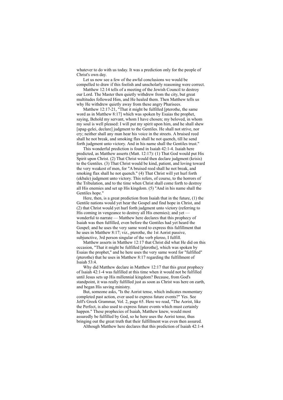whatever to do with us today. It was a prediction only for the people of Christ's own day.

Let us now see a few of the awful conclusions we would be compelled to draw if this foolish and unscholarly reasoning were correct.

Matthew 12:14 tells of a meeting of the Jewish Council to destroy our Lord. The Master then quietly withdrew from the city, but great multitudes followed Him, and He healed them. Then Matthew tells us why He withdrew quietly away from these angry Pharisees.

Matthew 12:17-21, "That it might be fulfilled [pterothe, the same word as in Matthew 8:17] which was spoken by Esaias the prophet, saying, Behold my servant, whom I have chosen; my beloved, in whom my soul is well pleased: I will put my spirit upon him, and he shall shew [apag-gelei, declare] judgment to the Gentiles. He shall not strive, nor cry; neither shall any man hear his voice in the streets. A bruised reed shall he not break, and smoking flax shall he not quench, till he send forth judgment unto victory. And in his name shall the Gentiles trust."

This wonderful prediction is found in Isaiah 42:1-4. Isaiah here predicted, as Matthew asserts (Matt. 12:17): (1) That God would put His Spirit upon Christ. (2) That Christ would then declare judgment (krisis) to the Gentiles. (3) That Christ would be kind, patient, and loving toward the very weakest of men, for "A bruised reed shall he not break, and smoking flax shall he not quench." (4) That Christ will yet hurl forth (ekbale) judgment unto victory. This refers, of course, to the horrors of the Tribulation, and to the time when Christ shall come forth to destroy all His enemies and set up His kingdom. (5) "And in his name shall the Gentiles hope."

Here, then, is a great prediction from Isaiah that in the future, (1) the Gentile nations would yet hear the Gospel and find hope in Christ, and (2) that Christ would yet hurl forth judgment unto victory (referring to His coming in vengeance to destroy all His enemies); and yet wonderful to narrate — Matthew here declares that this prophecy of Isaiah was then fulfilled, even before the Gentiles had yet heard the Gospel; and he uses the very same word to express this fulfillment that he uses in Matthew 8:17; viz., pterothe, the 1st Aorist passive, subjunctive, 3rd person singular of the verb pleroo, I fulfill.

Matthew asserts in Matthew 12:17 that Christ did what He did on this occasion, "That it might be fulfilled [plerothe], which was spoken by Esaias the prophet," and he here uses the very same word for "fulfilled" (pterothe) that he uses in Matthew 8:17 regarding the fulfillment of Isaiah 53:4.

Why did Matthew declare in Matthew 12:17 that this great prophecy of Isaiah 42:1-4 was fulfilled at this time when it would not be fulfilled until Jesus sets up His millennial kingdom? Because, from God's standpoint, it was really fulfilled just as soon as Christ was here on earth, and began His saving ministry.

But, someone asks, "Is the Aorist tense, which indicates momentary completed past action, ever used to express future events?" Yes. See Jelf's Greek Grammar, Vol. 2, page 65. Here we read, "The Aorist, like the Perfect, is also used to express future events which must certainly happen." These prophecies of Isaiah, Matthew knew, would most assuredly be fulfilled by God, so he here uses the Aorist tense, thus bringing out the great truth that their fulfillment was even then assured.

Although Matthew here declares that this prediction of Isaiah 42:1-4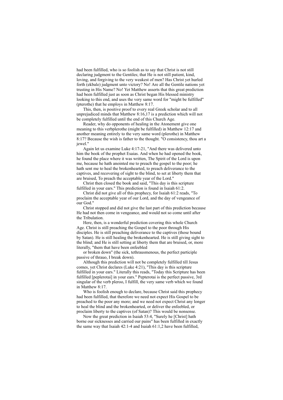had been fulfilled, who is so foolish as to say that Christ is not still declaring judgment to the Gentiles; that He is not still patient, kind, loving, and forgiving to the very weakest of men? Has Christ yet hurled forth (ekbale) judgment unto victory? No! Are all the Gentile nations yet trusting in His Name? No! Yet Matthew asserts that this great prediction had been fulfilled just as soon as Christ began His blessed ministry looking to this end, and uses the very same word for "might be fulfilled" (pterothe) that he employs in Matthew 8:17.

This, then, is positive proof to every real Greek scholar and to all unprejudiced minds that Matthew 8:16,17 is a prediction which will not be completely fulfilled until the end of this Church Age.

Reader, why do opponents of healing in the Atonement give one meaning to this verbplerothe (might be fulfilled) in Matthew 12:17 and another meaning entirely to the very same word (plerothe) in Matthew 8:17? Because the wish is father to the thought. "O consistency, thou art a jewel."

Again let us examine Luke 4:17-21, "And there was delivered unto him the book of the prophet Esaias. And when he had opened the book, he found the place where it was written, The Spirit of the Lord is upon me, because he hath anointed me to preach the gospel to the poor; he hath sent me to heal the brokenhearted, to preach deliverance to the captives, and recovering of sight to the blind, to set at liberty them that are bruised, To preach the acceptable year of the Lord."

Christ then closed the book and said, "This day is this scripture fulfilled in your ears." This prediction is found in Isaiah 61:2.

Christ did not give all of this prophecy, for Isaiah 61:2 reads, "To proclaim the acceptable year of our Lord, and the day of vengeance of our God."

Christ stopped and did not give the last part of this prediction because He had not then come in vengeance, and would not so come until after the Tribulation.

Here, then, is a wonderful prediction covering this whole Church Age. Christ is still preaching the Gospel to the poor through His disciples. He is still preaching deliverance to the captives (those bound by Satan). He is still healing the brokenhearted. He is still giving sight to the blind; and He is still setting at liberty them that are bruised, or, more literally, "them that have been enfeebled

or broken down" (the sick, tethrausmenous, the perfect participle passive of thrauo, I break down).

Although this prediction will not be completely fulfilled till Jesus comes, yet Christ declares (Luke 4:21), "This day is this scripture fulfilled in your ears." Literally this reads, "Today this Scripture has been fulfilled [peplerotai] in your ears." Pepterotai is the perfect passive, 3rd singular of the verb pleroo, I fulfill, the very same verb which we found in Matthew 8:17.

Who is foolish enough to declare, because Christ said this prophecy had been fulfilled, that therefore we need not expect His Gospel to be preached to the poor any more; and we need not expect Christ any longer to heal the blind and the brokenhearted, or deliver the enfeebled, or proclaim liberty to the captives (of Satan)? This would be nonsense.

Now the great prediction in Isaiah 53:4, "Surely he [Christ] hath borne our sicknesses and carried our pains" has been fulfilled in exactly the same way that Isaiah 42:1-4 and Isaiah 61:1,2 have been fulfilled,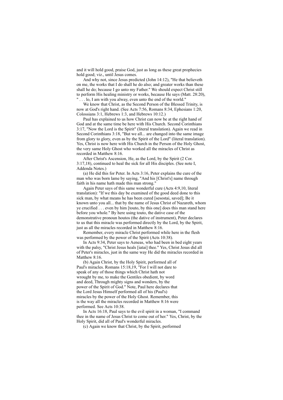and it will hold good, praise God, just as long as these great prophecies hold good; viz., until Jesus comes.

And why not, since Jesus predicted (John 14:12), "He that believeth on me, the works that I do shall he do also; and greater works than these shall he do; because I go unto my Father." We should expect Christ still to perform His healing ministry or works, because He says (Matt. 28:20),

" . . . lo, I am with you alway, even unto the end of the world."

We know that Christ, as the Second Person of the Blessed Trinity, is now at God's right hand. (See Acts 7:56, Romans 8:34, Ephesians 1:20, Colossians 3:1, Hebrews 1:3, and Hebrews 10:12.)

Paul has explained to us how Christ can now be at the right hand of God and at the same time be here with His Church. Second Corinthians 3:17, "Now the Lord is the Spirit" (literal translation). Again we read in Second Corinthians 3:18, "But we all... are changed into the same image from glory to glory, even as by the Spirit of the Lord" (literal translation). Yes, Christ is now here with His Church in the Person of the Holy Ghost, the very same Holy Ghost who worked all the miracles of Christ as recorded in Matthew 8:16.

After Christ's Ascension, He, as the Lord, by the Spirit (2 Cor. 3:17,18), continued to heal the sick for all His disciples. (See note I, Addenda Notes.)

(a) He did this for Peter. In Acts 3:16, Peter explains the cure of the man who was born lame by saying, "And his [Christ's] name through faith in his name hath made this man strong."

Again Peter says of this same wonderful cure (Acts 4:9,10, literal translation): "If we this day be examined of the good deed done to this sick man, by what means he has been cured [sesostai, saved]; Be it known unto you all... that by the name of Jesus Christ of Nazareth, whom ye crucified . . . even by him [touto, by this one] does this man stand here before you whole." By here using touto, the dative case of the demonstrative pronoun houtos (the dative of instrument), Peter declares to us that this miracle was performed directly by the Lord, by the Spirit, just as all the miracles recorded in Matthew 8:16.

Remember, every miracle Christ performed while here in the flesh was performed by the power of the Spirit (Acts 10:38).

In Acts 9:34, Peter says to Aeneas, who had been in bed eight years with the palsy, "Christ Jesus heals [iatai] thee." Yes, Christ Jesus did all of Peter's miracles, just in the same way He did the miracles recorded in Matthew 8:16.

(b) Again Christ, by the Holy Spirit, performed all of Paul's miracles. Romans 15:18,19, "For I will not dare to speak of any of those things which Christ hath not wrought by me, to make the Gentiles obedient, by word and deed, Through mighty signs and wonders, by the power of the Spirit of God." Note, Paul here declares that the Lord Jesus Himself performed all of his (Paul's) miracles by the power of the Holy Ghost. Remember, this is the way all the miracles recorded in Matthew 8:16 were performed. See Acts 10:38.

In Acts 16:18, Paul says to the evil spirit in a woman, "I command thee in the name of Jesus Christ to come out of her." Yes, Christ, by the Holy Spirit, did all of Paul's wonderful miracles.

(c) Again we know that Christ, by the Spirit, performed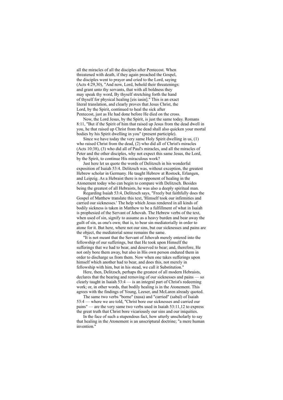all the miracles of all the disciples after Pentecost. When threatened with death, if they again preached the Gospel, the disciples went to prayer and cried to the Lord, saying (Acts 4:29,30), "And now, Lord, behold their threatenings: and grant unto thy servants, that with all boldness they may speak thy word, By thyself stretching forth the hand of thyself for physical healing [eis iasin]." This is an exact literal translation, and clearly proves that Jesus Christ, the Lord, by the Spirit, continued to heal the sick after Pentecost, just as He had done before He died on the cross.

Now, the Lord Jesus, by the Spirit, is just the same today. Romans 8:11, "But if the Spirit of him that raised up Jesus from the dead dwell in you, he that raised up Christ from the dead shall also quicken your mortal bodies by his Spirit dwelling in you" (present participle).

Since we have today the very same Holy Spirit dwelling in us, (1) who raised Christ from the dead, (2) who did all of Christ's miracles (Acts 10:38), (3) who did all of Paul's miracles, and all the miracles of Peter and the other disciples, why not expect this same Jesus, the Lord, by the Spirit, to continue His miraculous work?

Just here let us quote the words of Delitzsch in his wonderful exposition of Isaiah 53:4. Delitzsch was, without exception, the greatest Hebrew scholar in Germany. He taught Hebrew at Rostock, Erlangen, and Leipzig. As a Hebraist there is no opponent of healing in the Atonement today who can begin to compare with Delitzsch. Besides being the greatest of all Hebraists, he was also a deeply spiritual man.

Regarding Isaiah 53:4, Delitzsch says, "Freely but faithfully does the Gospel of Matthew translate this text, 'Himself took our infirmities and carried our sicknesses.' The help which Jesus rendered in all kinds of bodily sickness is taken in Matthew to be a fulfillment of what in Isaiah is prophesied of the Servant of Jehovah. The Hebrew verbs of the text, when used of sin, signify to assume as a heavy burden and bear away the guilt of sin, as one's own; that is, to bear sin mediatorially in order to atone for it. But here, where not our sins, but our sicknesses and pains are the object, the mediatorial sense remains the same.

"It is not meant that the Servant of Jehovah merely entered into the fellowship of our sufferings, but that He took upon Himself the sufferings that we had to bear, and deserved to bear; and, therefore, He not only bore them away, but also in His own person endured them in order to discharge us from them. Now when one takes sufferings upon himself which another had to bear, and does this, not merely in fellowship with him, but in his stead, we call it Substitution."

Here, then, Delitzsch, perhaps the greatest of all modern Hebraists, declares that the bearing and removing of our sicknesses and pains — so clearly taught in Isaiah 53:4 — is an integral part of Christ's redeeming work; or, in other words, that bodily healing is in the Atonement. This agrees with the findings of Young, Leeser, and McLaren already quoted.

The same two verbs "borne" (nasa) and "carried" (sabal) of Isaiah 53:4 — where we are told, "Christ bore our sicknesses and carried our pains" — are the very same two verbs used in Isaiah 53:11,12 to express the great truth that Christ bore vicariously our sins and our iniquities.

In the face of such a stupendous fact, how utterly unscholarly to say that healing in the Atonement is an unscriptural doctrine; "a mere human invention."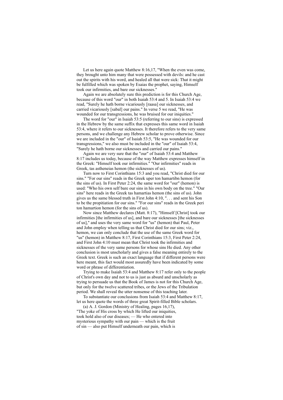Let us here again quote Matthew 8:16,17, "When the even was come, they brought unto him many that were possessed with devils: and he cast out the spirits with his word, and healed all that were sick: That it might be fulfilled which was spoken by Esaias the prophet, saying, Himself took our infirmities, and bare our sicknesses."

Again we are absolutely sure this prediction is for this Church Age, because of this word "our" in both Isaiah 53:4 and 5. In Isaiah 53:4 we read, "Surely he hath borne vicariously [raasa] our sicknesses, and carried vicariously [sabal] our pains." In verse 5 we read, "He was wounded for our transgressions, he was bruised for our iniquities."

The word for "our" in Isaiah 53:5 (referring to our sins) is expressed in the Hebrew by the same suffix that expresses this same word in Isaiah 53:4, where it refers to our sicknesses. It therefore refers to the very same persons, and we challenge any Hebrew scholar to prove otherwise. Since we are included in the "our" of Isaiah 53:5, "He was wounded for our transgressions," we also must be included in the "our" of Isaiah 53:4, "Surely he hath borne our sicknesses and carried our pains."

Again we are very sure that the "our" of Isaiah 53:4 and Matthew 8:17 includes us today, because of the way Matthew expresses himself in the Greek: "Himself took our infirmities." "Our infirmities" reads in Greek, tas astheneias hemon (the sicknesses of us).

Turn now to First Corinthians 15:3 and you read, "Christ died for our sins." "For our sins" reads in the Greek uper ton hamartibn hemon (for the sins of us). In First Peter 2:24, the same word for "our" (hemon) is used: "Who his own self bare our sins in his own body on the tree." "Our sins" here reads in the Greek tas hamartias hemon (the sins of us). John gives us the same blessed truth in First John 4:10, ". . . and sent his Son to be the propitiation for our sins." "For our sins" reads in the Greek peri ton hamartion hemon (for the sins of us).

Now since Matthew declares (Matt. 8:17), "Himself [Christ] took our infirmities [the infirmities of us], and bare our sicknesses [the sicknesses of us]," and uses the very same word for "us" (hemon) that Paul, Peter and John employ when telling us that Christ died for our sins; viz., hemon, we can only conclude that the use of the same Greek word for "us" (hemon) in Matthew 8:17, First Corinthians 15:3, First Peter 2:24, and First John 4:10 must mean that Christ took the infirmities and sicknesses of the very same persons for whose sins He died. Any other conclusion is most unscholarly and gives a false meaning entirely to the Greek text. Greek is such an exact language that if different persons were here meant, this fact would most assuredly have been indicated by some word or phrase of differentiation.

Trying to make Isaiah 53:4 and Matthew 8:17 refer only to the people of Christ's own day and not to us is just as absurd and unscholarly as trying to persuade us that the Book of James is not for this Church Age, but only for the twelve scattered tribes, or the Jews of the Tribulation period. We shall reveal the utter nonsense of this teaching later.

To substantiate our conclusions from Isaiah 53:4 and Matthew 8:17, let us here quote the words of three great Spirit-filled Bible scholars.

(a) A. J. Gordon (Ministry of Healing, pages 16,17), "The yoke of His cross by which He lifted our iniquities, took hold also of our diseases; — He who entered into mysterious sympathy with our pain — which is the fruit of sin — also put Himself underneath our pain, which is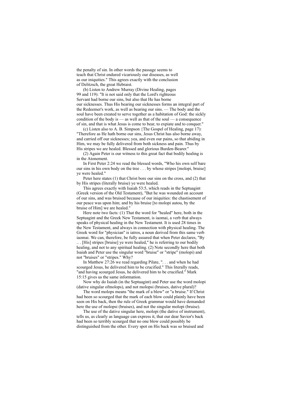the penalty of sin. In other words the passage seems to teach that Christ endured vicariously our diseases, as well as our iniquities." This agrees exactly with the conclusion of Delitzsch, the great Hebraist.

(b) Listen to Andrew Murray (Divine Healing, pages 99 and 119): "It is not said only that the Lord's righteous Servant had borne our sins, but also that He has borne our sicknesses. Thus His bearing our sicknesses forms an integral part of the Redeemer's work, as well as bearing our sins. — The body and the soul have been created to serve together as a habitation of God: the sickly condition of the body is — as well as that of the soul — a consequence of sin, and that is what Jesus is come to bear, to expiate and to conquer."

(c) Listen also to A. B. Simpson {The Gospel of Healing, page 17): "Therefore as He hath borne our sins, Jesus Christ has also borne away, and carried off our sicknesses; yea, and even our pains, so that abiding in Him, we may be fully delivered from both sickness and pain. Thus by His stripes we are healed. Blessed and glorious Burden-Bearer.''

(2) Again Peter is our witness to this great fact that bodily healing is in the Atonement.

In First Peter 2:24 we read the blessed words, "Who his own self bare our sins in his own body on the tree . . . by whose stripes [molopi, bruise] ye were healed."

Peter here states (1) that Christ bore our sins on the cross, and (2) that by His stripes (literally bruise) ye were healed.

This agrees exactly with Isaiah 53:5, which reads in the Septuagint (Greek version of the Old Testament), "But he was wounded on account of our sins, and was bruised because of our iniquities: the chastisement of our peace was upon him; and by his bruise [to molopi autou, by the bruise of Him] we are healed."

Here note two facts: (1) That the word for "healed" here, both in the Septuagint and the Greek New Testament, is iaomai, a verb that always speaks of physical healing in the New Testament. It is used 28 times in the New Testament, and always in connection with physical healing. The Greek word for "physician" is iatros, a noun derived from this same verb iaomai. We can, therefore, be fully assured that when Peter declares, "By .. . [His] stripes [bruise] ye were healed," he is referring to our bodily healing, and not to any spiritual healing. (2) Note secondly here that both Isaiah and Peter use the singular word "bruise" or "stripe" (molopi) and not "bruises" or "stripes." Why?

In Matthew 27:26 we read regarding Pilate, ". . . and when he had scourged Jesus, he delivered him to be crucified." This literally reads, "and having scourged Jesus, he delivered him to be crucified." Mark 15:15 gives us the same information.

Now why do Isaiah (in the Septuagint) and Peter use the word molopi (dative singular ofmolops), and not molopsi (bruises, dative plural)?

The word molops means "the mark of a blow" or "a bruise." If Christ had been so scourged that the mark of each blow could plainly have been seen on His back, then the rule of Greek grammar would have demanded here the use of molopsi (bruises), and not the singular molopi (bruise).

The use of the dative singular here, molopi (the dative of instrument), tells us, as clearly as language can express it, that our dear Savior's back had been so terribly scourged that no one blow could possibly be distinguished from the other. Every spot on His back was so bruised and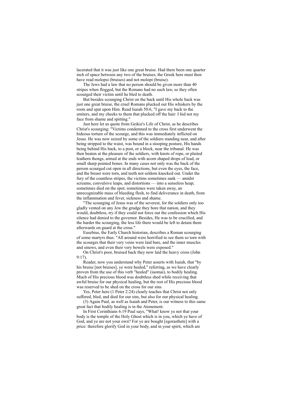lacerated that it was just like one great bruise. Had there been one quarter inch of space between any two of the bruises, the Greek here must then have read molopsi (bruises) and not molopi (bruise).

The Jews had a law that no person should be given more than 40 stripes when flogged, but the Romans had no such law, so they often scourged their victim until he bled to death.

But besides scourging Christ on the back until His whole back was just one great bruise, the cruel Romans plucked out His whiskers by the roots and spat upon Him. Read Isaiah 50:6, "I gave my back to the smiters, and my cheeks to them that plucked off the hair: I hid not my face from shame and spitting."

Just here let us quote from Geikie's Life of Christ, as he describes Christ's scourging: "Victims condemned to the cross first underwent the hideous torture of the scourge, and this was immediately inflicted on Jesus. He was now seized by some of the soldiers standing near, and after being stripped to the waist, was bound in a stooping posture, His hands being behind His back, to a post, or a block, near the tribunal. He was then beaten at the pleasure of the soldiers, with knots of rope, or plaited leathern thongs, armed at the ends with acorn shaped drops of lead, or small sharp pointed bones. In many cases not only was the back of the person scourged cut open in all directions, but even the eyes, the face, and the breast were torn, and teeth not seldom knocked out. Under the fury of the countless stripes, the victims sometimes sank — amidst screams, convulsive leaps, and distortions — into a senseless heap; sometimes died on the spot; sometimes were taken away, an unrecognizable mass of bleeding flesh, to find deliverance in death, from the inflammation and fever, sickness and shame.

"The scourging of Jesus was of the severest, for the soldiers only too gladly vented on any Jew the grudge they bore that nation, and they would, doubtless, try if they could not force out the confession which His silence had denied to the governor. Besides, He was to be crucified, and the harder the scourging, the less life there would be left to detain them afterwards on guard at the cross."

Eusebius, the Early Church historian, describes a Roman scourging of some martyrs thus: "All around were horrified to see them so torn with the scourges that their very veins were laid bare, and the inner muscles and sinews, and even their very bowels were exposed."

On Christ's poor, bruised back they now laid the heavy cross (John 9:17).

Reader, now you understand why Peter asserts with Isaiah, that "by his bruise [not bruises], ye were healed," referring, as we have clearly proven from the use of this verb "healed" (iaomai), to bodily healing. Much of His precious blood was doubtless shed while receiving that awful bruise for our physical healing, but the rest of His precious blood was reserved to be shed on the cross for our sins.

Yes, Peter here (1 Peter 2:24) clearly teaches that Christ not only suffered, bled, and died for our sins, but also for our physical healing.

(3) Again Paul, as well as Isaiah and Peter, is our witness to this same great fact that bodily healing is in the Atonement.

In First Corinthians 6:19 Paul says, "What! know ye not that your body is the temple of the Holy Ghost which is in you, which ye have of God, and ye are not your own? For ye are bought [egorasthete] with a price: therefore glorify God in your body, and in your spirit, which are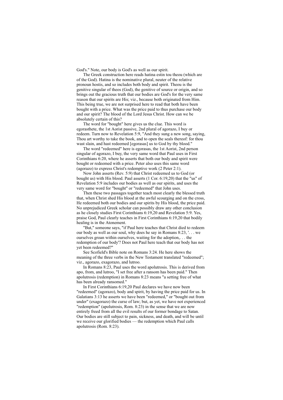God's." Note, our body is God's as well as our spirit.

The Greek construction here reads hatina estin tou theou (which are of the God). Hatina is the nominative plural, neuter of the relative pronoun hostis, and so includes both body and spirit. Theou is the genitive singular of theos (God), the genitive of source or origin, and so brings out the gracious truth that our bodies are God's for the very same reason that our spirits are His; viz., because both originated from Him. This being true, we are not surprised here to read that both have been bought with a price. What was the price paid to thus purchase our body and our spirit? The blood of the Lord Jesus Christ. How can we be absolutely certain of this?

The word for "bought" here gives us the clue. This word is egorasthete, the 1st Aorist passive, 2nd plural of agorazo, I buy or redeem. Turn now to Revelation 5:9, "And they sung a new song, saying, Thou art worthy to take the book, and to open the seals thereof: for thou wast slain, and hast redeemed [egorasas] us to God by thy blood."

The word "redeemed" here is egorasas, the 1st Aorist, 2nd person singular of agorazo, I buy, the very same word that Paul uses in First Corinthians 6:20, where he asserts that both our body and spirit were bought or redeemed with a price. Peter also uses this same word (agorazo) to express Christ's redemptive work (2 Peter 2:1).

Now John asserts (Rev. 5:9) that Christ redeemed us to God (or bought us) with His blood. Paul asserts (1 Cor. 6:19,20) that the "us" of Revelation 5:9 includes our bodies as well as our spirits, and uses the very same word for "bought" or "redeemed" that John uses.

Then these two passages together teach most clearly the blessed truth that, when Christ shed His blood at the awful scourging and on the cross, He redeemed both our bodies and our spirits by His blood, the price paid. No unprejudiced Greek scholar can possibly draw any other conclusion as he closely studies First Corinthians 6:19,20 and Revelation 5:9. Yes, praise God, Paul clearly teaches in First Corinthians 6:19,20 that bodily healing is in the Atonement.

"But," someone says, "if Paul here teaches that Christ died to redeem our body as well as our soul, why does he say in Romans 8:23, '. . . we ourselves groan within ourselves, waiting for the adoption,. . . the redemption of our body'? Does not Paul here teach that our body has not yet been redeemed?"

See Scofield's Bible note on Romans 3:24. He here shows the meaning of the three verbs in the New Testament translated "redeemed"; viz., agorazo, exagorazo, and lutroo.

In Romans 8:23, Paul uses the word apolutrosis. This is derived from apo, from, and lutroo, "I set free after a ransom has been paid." Then apolutrosis (redemption) in Romans 8:23 means "a setting free of what has been already ransomed."

In First Corinthians 6:19,20 Paul declares we have now been "redeemed" (agorazo), body and spirit, by having the price paid for us. In Galatians 3:13 he asserts we have been "redeemed," or "bought out from under" (exagorazo) the curse of law; but, as yet, we have not experienced "redemption" (apolutrosis, Rom. 8:23) in the sense that we are now entirely freed from all the evil results of our former bondage to Satan. Our bodies are still subject to pain, sickness, and death, and will be until we receive our glorified bodies — the redemption which Paul calls apolutrosis (Rom. 8:23).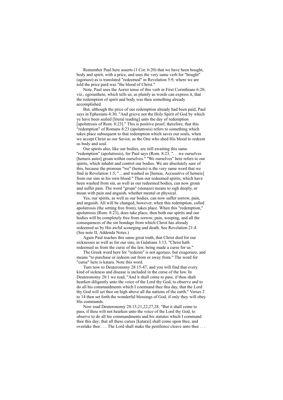Remember Paul here asserts (1 Cor. 6:20) that we have been bought, body and spirit, with a price, and uses the very same verb for "bought" (agorazo) as is translated "redeemed" in Revelation 5:9, where we are told the price paid was "the blood of Christ."

Note, Paul uses the Aorist tense of this verb in First Corinthians 6:20; viz., egorasthete, which tells us, as plainly as words can express it, that the redemption of spirit and body was then something already accomplished.

But, although the price of our redemption already had been paid, Paul says in Ephesians 4:30, "And grieve not the Holy Spirit of God by which ye have been sealed [literal reading] unto the day of redemption [apolutrosis of Rom. 8:23]." This is positive proof, therefore, that this "redemption" of Romans 8:23 (apolutrosis) refers to something which takes place subsequent to that redemption which saves our souls, when we accept Christ as our Savior, as the One who shed His blood to redeem us body and soul.

Our spirits also, like our bodies, are still awaiting this same "redemption" (apolutrosis), for Paul says (Rom. 8:23, "... we ourselves [hemeis autoi] groan within ourselves." "We ourselves" here refers to our spirits, which inhabit and control our bodies. We are absolutely sure of this, because the pronoun "we" (hemeis) is the very same word that we find in Revelation 1:5, "... and washed us [hemas, Accusative of hemeis] from our sins in his own blood." Then our redeemed spirits, which have been washed from sin, as well as our redeemed bodies, can now groan and suffer pain. The word "groan" (stenazo) means to sigh deeply, or moan with pain and anguish, whether mental or physical.

Yes, our spirits, as well as our bodies, can now suffer sorrow, pain, and anguish. All will be changed, however, when this redemption, called apolutrosis (the setting free from), takes place. When this "redemption," apolutrosis (Rom. 8:23), does take place, then both our spirits and our bodies will be completely free from sorrow, pain, weeping, and all the consequences of the sin bondage from which Christ has already redeemed us by His awful scourging and death. See Revelation 21:4. (See note II, Addenda Notes.)

Again Paul teaches this same great truth, that Christ died for our sicknesses as well as for our sins, in Galatians 3:13, "Christ hath redeemed us from the curse of the law, being made a curse for us."

The Greek word here for "redeem" is not agorazo, but exagorazo, and means "to purchase or redeem out from or away from." The word for "curse" here is katara. Note this word.

Turn now to Deuteronomy 28:15-47, and you will find that every kind of sickness and disease is included in the curse of the law. In Deuteronomy 28:1 we read, "And it shall come to pass, if thou shalt hearken diligently unto the voice of the Lord thy God, to observe and to do all his commandments which I command thee this day, that the Lord thy God will set thee on high above all the nations of the earth." Verses 2 to 14 then set forth the wonderful blessings of God, if only they will obey His commands.

Now read Deuteronomy 28:15,21,22,27,28, "But it shall come to pass, if thou wilt not hearken unto the voice of the Lord thy God, to observe to do all his commandments and his statutes which I command thee this day; that all these curses [katarai] shall come upon thee, and overtake thee . . . The Lord shall make the pestilence cleave unto thee . . .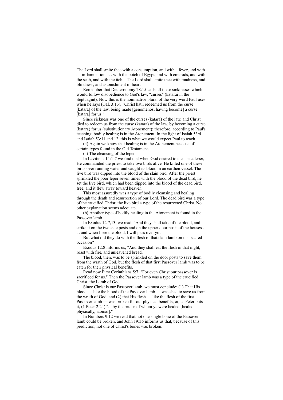The Lord shall smite thee with a consumption, and with a fever, and with an inflammation . . . with the botch of Egypt, and with emerods, and with the scab, and with the itch... The Lord shall smite thee with madness, and blindness, and astonishment of heart

Remember that Deuteronomy 28:15 calls all these sicknesses which would follow disobedience to God's law, "curses" (katarai in the Septuagint). Now this is the nominative plural of the very word Paul uses when he says (Gal. 3:13), "Christ hath redeemed us from the curse [katara] of the law, being made [genomenos, having become] a curse [katara] for us."

Since sickness was one of the curses (katara) of the law, and Christ died to redeem us from the curse (katara) of the law, by becoming a curse (katara) for us (substitutionary Atonement); therefore, according to Paul's teaching, bodily healing is in the Atonement. In the light of Isaiah 53:4 and Isaiah 53:11 and 12, this is what we would expect Paul to teach.

(4) Again we know that healing is in the Atonement because of certain types found in the Old Testament.

(a) The cleansing of the leper.

In Leviticus 14:1-7 we find that when God desired to cleanse a leper, He commanded the priest to take two birds alive. He killed one of these birds over running water and caught its blood in an earthen vessel. The live bird was dipped into the blood of the slain bird. After the priest sprinkled the poor leper seven times with the blood of the dead bird, he set the live bird, which had been dipped into the blood of the dead bird, free, and it flew away toward heaven.

This most assuredly was a type of bodily cleansing and healing through the death and resurrection of our Lord. The dead bird was a type of the crucified Christ; the live bird a type of the resurrected Christ. No other explanation seems adequate.

(b) Another type of bodily healing in the Atonement is found in the Passover lamb.

In Exodus 12:7,13, we read, "And they shall take of the blood, and strike it on the two side posts and on the upper door posts of the houses . . . and when I see the blood, I will pass over you."

But what did they do with the flesh of that slain lamb on that sacred occasion?

Exodus 12:8 informs us, "And they shall eat the flesh in that night, roast with fire, and unleavened bread."

The blood, then, was to be sprinkled on the door posts to save them from the wrath of God, but the flesh of that first Passover lamb was to be eaten for their physical benefits.

Read now First Corinthians 5:7, "For even Christ our passover is sacrificed for us." Then the Passover lamb was a type of the crucified Christ, the Lamb of God.

Since Christ is our Passover lamb, we must conclude: (1) That His blood — like the blood of the Passover lamb — was shed to save us from the wrath of God; and (2) that His flesh — like the flesh of the first Passover lamb — was broken for our physical benefits; or, as Peter puts it, (1 Peter 2:24) "... by the bruise of whom ye were healed [healed physically, iaomai].

In Numbers 9:12 we read that not one single bone of the Passover lamb could be broken, and John 19:36 informs us that, because of this prediction, not one of Christ's bones was broken.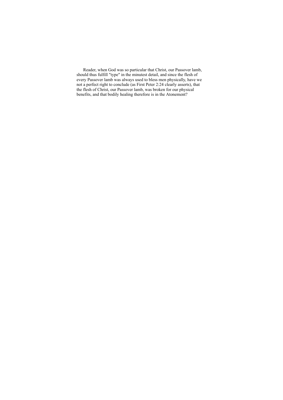Reader, when God was so particular that Christ, our Passover lamb, should thus fulfill "type" in the minutest detail, and since the flesh of every Passover lamb was always used to bless men physically, have we not a perfect right to conclude (as First Peter 2:24 clearly asserts), that the flesh of Christ, our Passover lamb, was broken for our physical benefits, and that bodily healing therefore is in the Atonement?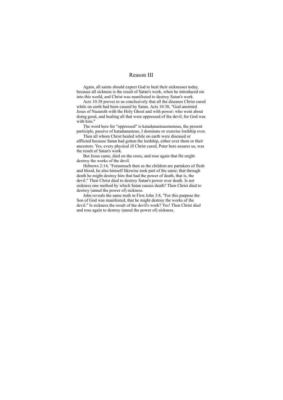## Reason III

Again, all saints should expect God to heal their sicknesses today, because all sickness is the result of Satan's work, when he introduced sin into this world, and Christ was manifested to destroy Satan's work.

Acts 10:38 proves to us conclusively that all the diseases Christ cured while on earth had been caused by Satan. Acts 10:38, "God anointed Jesus of Nazareth with the Holy Ghost and with power: who went about doing good, and healing all that were oppressed of the devil; for God was with him."

The word here for "oppressed" is katadunasteuomenous, the present participle, passive of katadunasteuo, I dominate or exercise lordship over.

Then all whom Christ healed while on earth were diseased or afflicted because Satan had gotten the lordship, either over them or their ancestors. Yes, every physical ill Christ cured, Peter here assures us, was the result of Satan's work.

But Jesus came, died on the cross, and rose again that He might destroy the works of the devil.

Hebrews 2:14, "Forasmuch then as the children are partakers of flesh and blood, he also himself likewise took part of the same; that through death he might destroy him that had the power of death, that is, the devil." Then Christ died to destroy Satan's power over death. Is not sickness one method by which Satan causes death? Then Christ died to destroy (annul the power of) sickness.

John reveals the same truth in First John 3:8, "For this purpose the Son of God was manifested, that he might destroy the works of the devil." Is sickness the result of the devil's work? Yes! Then Christ died and rose again to destroy (annul the power of) sickness.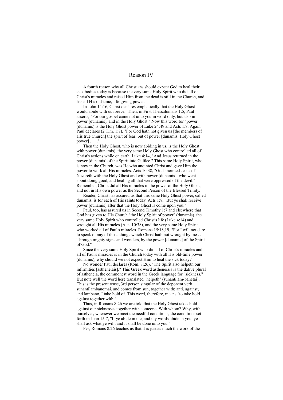### Reason IV

A fourth reason why all Christians should expect God to heal their sick bodies today is because the very same Holy Spirit who did all of Christ's miracles and raised Him from the dead is still in the Church, and has all His old-time, life-giving power.

In John 14:16, Christ declares emphatically that the Holy Ghost would abide with us forever. Then, in First Thessalonians 1:5, Paul asserts, "For our gospel came not unto you in word only, but also in power [dunamis], and in the Holy Ghost." Now this word for "power" (dunamis) is the Holy Ghost power of Luke 24:49 and Acts 1:8. Again Paul declares (2 Tim. 1:7), "For God hath not given us [the members of His true Church] the spirit of fear; but of power [dunamis, Holy Ghost  $power$ ]  $\dots$ ."

Then the Holy Ghost, who is now abiding in us, is the Holy Ghost with power (dunamis), the very same Holy Ghost who controlled all of Christ's actions while on earth. Luke 4:14, "And Jesus returned in the power [dunamis] of the Spirit into Galilee." This same Holy Spirit, who is now in the Church, was He who anointed Christ and gave Him the power to work all His miracles. Acts 10:38, "God anointed Jesus of Nazareth with the Holy Ghost and with power [dunamis]: who went about doing good, and healing all that were oppressed of the devil." Remember, Christ did all His miracles in the power of the Holy Ghost, and not in His own power as the Second Person of the Blessed Trinity.

Reader, Christ has assured us that this same Holy Ghost power, called dunamis, is for each of His saints today. Acts 1:8, "But ye shall receive power [dunamis] after that the Holy Ghost is come upon you."

Paul, too, has assured us in Second Timothy 1:7 and elsewhere that God has given to His Church "the Holy Spirit of power" (dunamis), the very same Holy Spirit who controlled Christ's life (Luke 4:14) and wrought all His miracles (Acts 10:38), and the very same Holy Spirit who worked all of Paul's miracles. Romans 15:18,19, "For I will not dare to speak of any of those things which Christ hath not wrought by me . . . Through mighty signs and wonders, by the power [dunamis] of the Spirit of God."

Since the very same Holy Spirit who did all of Christ's miracles and all of Paul's miracles is in the Church today with all His old-time power (dunamis), why should we not expect Him to heal the sick today?

No wonder Paul declares (Rom. 8:26), "The Spirit also helpeth our infirmities [astheneiais]." This Greek word astheneiais is the dative plural of astheneia, the commonest word in the Greek language for "sickness." But note well the word here translated "helpeth" (sunantilam-banetai). This is the present tense, 3rd person singular of the deponent verb sunantilambanomai, and comes from sun, together with; anti, against; and lambano, I take hold of. This word, therefore, means "to take hold against together with."

Thus, in Romans 8:26 we are told that the Holy Ghost takes hold against our sicknesses together with someone. With whom? Why, with ourselves, whenever we meet the needful conditions, the conditions set forth in John 15:7, "If ye abide in me, and my words abide in you, ye shall ask what ye will, and it shall be done unto you."

Fes, Romans 8:26 teaches us that it is just as much the work of the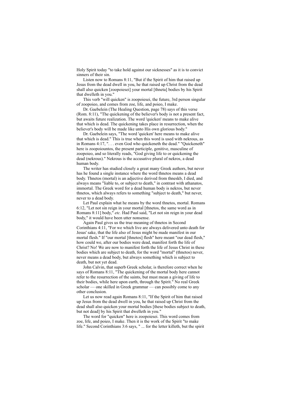Holy Spirit today "to take hold against our sicknesses" as it is to convict sinners of their sin.

Listen now to Romans 8:11, "But if the Spirit of him that raised up Jesus from the dead dwell in you, he that raised up Christ from the dead shall also quicken [zoopoiesei] your mortal [thneta] bodies by his Spirit that dwelleth in you."

This verb "will quicken" is zoopoiesei, the future, 3rd person singular of zoopoieo, and comes from zoe, life, and poieo, I make.

Dr. Gaebelein (The Healing Question, page 78) says of this verse (Rom. 8:11), "The quickening of the believer's body is not a present fact, but awaits future realization. The word 'quicken' means to make alive that which is dead. The quickening takes place in resurrection, when the believer's body will be made like unto His own glorious body."

Dr. Gaebelein says, "The word 'quicken' here means to make alive that which is dead." This is true when this word is used with nekrous, as in Romans 4:17, ". . . even God who quickeneth the dead." "Quickeneth" here is zoopoiountos, the present participle, genitive, masculine of zoopoieo, and so literally reads, "God giving life to or quickening the dead (nekrous)." Nekrous is the accusative plural of nekros, a dead human body.

The writer has studied closely a great many Greek authors, but never has he found a single instance where the word thnetos means a dead body. Thnetos (mortal) is an adjective derived from thneskb, I died, and always means "liable to, or subject to death," in contrast with athanatos, immortal. The Greek word for a dead human body is nekros, but never thnetos, which always refers to something "subject to death," but never, never to a dead body.

Let Paul explain what he means by the word thnetos, mortal. Romans 6:12, "Let not sin reign in your mortal [thnetos, the same word as in Romans 8:11] body," *etc.* Had Paul said, "Let not sin reign in your dead body," it would have been utter nonsense.

Again Paul gives us the true meaning of thnetos in Second Corinthians 4:11, "For we which live are always delivered unto death for Jesus' sake, that the life also of Jesus might be made manifest in our mortal flesh." If "our mortal [thnetos] flesh" here meant "our dead flesh," how could we, after our bodies were dead, manifest forth the life of Christ? No! We are now to manifest forth the life of Jesus Christ in these bodies which are subject to death, for the word "mortal" (thnetos) never, never means a dead body, but always something which is subject to death, but not yet dead.

John Calvin, that superb Greek scholar, is therefore correct when he says of Romans 8:11, "The quickening of the mortal body here cannot refer to the resurrection of the saints, but must mean a giving of life to their bodies, while here upon earth, through the Spirit." No real Greek scholar — one skilled in Greek grammar — can possibly come to any other conclusion.

Let us now read again Romans 8:11, "If the Spirit of him that raised up Jesus from the dead dwell in you, he that raised up Christ from the dead shall also quicken your mortal bodies [these bodies subject to death, but not dead] by his Spirit that dwelleth in you."

The word for "quicken" here is zoopoiesei. This word comes from zoe, life, and poieo, I make. Then it is the work of the Spirit "to make life." Second Corinthians 3:6 says, " ... for the letter killeth, but the spirit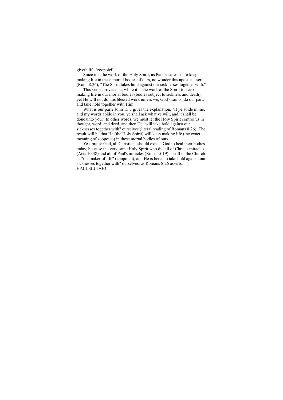giveth life [zoopoiei]."

Since it is the work of the Holy Spirit, as Paul assures us, to keep making life in these mortal bodies of ours, no wonder this apostle asserts (Rom. 8:26), "The Spirit takes hold against our sicknesses together with."

This verse proves that, while it is the work of the Spirit to keep making life in our mortal bodies (bodies subject to sickness and death), yet He will not do this blessed work unless we, God's saints, do our part, and take hold together with Him.

What is our part? John 15:7 gives the explanation, "If ye abide in me, and my words abide in you, ye shall ask what ye will, and it shall be done unto you." In other words, we must let the Holy Spirit control us in thought, word, and deed, and then He "will take hold against our sicknesses together with" ourselves (literal reading of Romans 8:26). The result will be that He (the Holy Spirit) will keep making life (the exact meaning of zoopoieo) in these mortal bodies of ours.

Yes, praise God, all Christians should expect God to heal their bodies today, because the very same Holy Spirit who did all of Christ's miracles (Acts 10:38) and all of Paul's miracles (Rom. 15:19) is still in the Church as "the maker of life" (zoopoieo), and He is here "to take hold against our sicknesses together with" ourselves, as Romans 8:26 asserts. HALLELUJAH!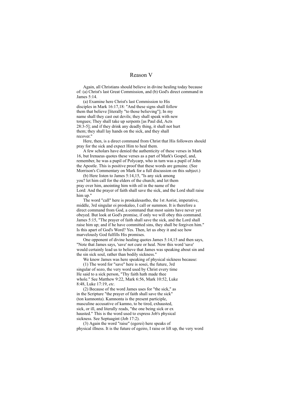#### Reason V

Again, all Christians should believe in divine healing today because of: (a) Christ's last Great Commission, and (b) God's direct command in James 5:14.

(a) Examine here Christ's last Commission to His disciples in Mark 16:17,18: "And these signs shall follow them that believe [literally "to those believing"]; In my name shall they cast out devils; they shall speak with new tongues; They shall take up serpents [as Paul did, Acts 28:3-5]; and if they drink any deadly thing, it shall not hurt them; they shall lay hands on the sick, and they shall recover."

Here, then, is a direct command from Christ that His followers should pray for the sick and expect Him to heal them.

A few scholars have denied the authenticity of these verses in Mark 16, but Irenaeus quotes these verses as a part of Mark's Gospel, and, remember, he was a pupil of Polycarp, who in turn was a pupil of John the Apostle. This is positive proof that these words are genuine. (See Morrison's Commentary on Mark for a full discussion on this subject.)

(b) Here listen to James 5:14,15, "Is any sick among you? let him call for the elders of the church; and let them pray over him, anointing him with oil in the name of the Lord: And the prayer of faith shall save the sick, and the Lord shall raise him up."

The word "call" here is proskalesastho, the 1st Aorist, imperative, middle, 3rd singular oi proskaleo, I call or summon. It is therefore a direct command from God, a command that most saints have never yet obeyed. But look at God's promise, if only we will obey this command. James 5:15, "The prayer of faith shall save the sick, and the Lord shall raise him up; and if he have committed sins, they shall be forgiven him." Is this apart of God's Word? Yes. Then, let us obey it and see how marvelously God fulfills His promises.

One opponent of divine healing quotes James 5:14,15 and then says, "Note that James says, 'save' not cure or heal. Now this word 'save' would certainly lead us to believe that James was speaking about sin and the sin sick soul, rather than bodily sickness."

We know James was here speaking of physical sickness because:

(1) The word for "save" here is sosei, the future, 3rd singular of sozo, the very word used by Christ every time He said to a sick person, "Thy faith hath made thee whole." See Matthew 9:22, Mark 6:56, Mark 10:52, Luke 8:48, Luke 17:19, *etc.*

(2) Because of the word James uses for "the sick," as in the Scripture "the prayer of faith shall save the sick" (ton kamnonta). Kamnonta is the present participle, masculine accusative of kamno, to be tired, exhausted, sick, or ill, and literally reads, "the one being sick or ex hausted." This is the word used to express Job's physical sickness. See Septuagint (Job 17:2).

(3) Again the word "raise" (egerei) here speaks of physical illness. It is the future of egeiro, I raise or lift up, the very word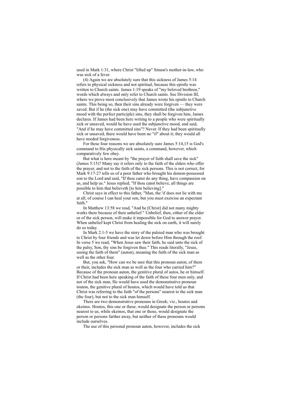used in Mark 1:31, where Christ "lifted up" Simon's mother-in-law, who was sick of a fever.

(4) Again we are absolutely sure that this sickness of James 5:14 refers to physical sickness and not spiritual, because this epistle was written to Church saints. James 1:19 speaks of "my beloved brethren," words which always and only refer to Church saints. See Division III, where we prove most conclusively that James wrote his epistle to Church saints. This being so, then their sins already were forgiven — they were saved. But if he (the sick one) may have committed (the subjunctive mood with the perfect participle) sins, they shall be forgiven him, James declares. If James had been here writing to a people who were spiritually sick or unsaved, would he have used the subjunctive mood, and said, "And if he may have committed sins"? Never. If they had been spiritually sick or unsaved, there would have been no "if" about it; they would all have needed forgiveness.

For these four reasons we are absolutely sure James 5:14,15 is God's command to His physically sick saints, a command, however, which comparatively few obey.

But what is here meant by "the prayer of faith shall save the sick" (James 5:15)? Many say it refers only to the faith of the elders who offer the prayer, and not to the faith of the sick persons. This is not correct, for Mark 9:17-27 tells us of a poor father who brought his demon-possessed son to the Lord and said, "If thou canst do any thing, have compassion on us, and help us." Jesus replied, "If thou canst believe, all things are possible to him that believeth [to him believing]."

Christ says in effect to this father, "Man, the 'if does not lie with me at all; of course I can heal your son, but you must exercise an expectant faith."

In Matthew 13:58 we read, "And he [Christ] did not many mighty works there because of their unbelief." Unbelief, then, either of the elder or of the sick person, will make it impossible for God to answer prayer. When unbelief kept Christ from healing the sick on earth, it will surely do so today.

In Mark 2:1-5 we have the story of the palsied man who was brought to Christ by four friends and was let down before Him through the roof. In verse 5 we read, "When Jesus saw their faith, he said unto the sick of the palsy, Son, thy sins be forgiven thee." This reads literally, "Jesus, seeing the faith of them" (auton), meaning the faith of the sick man as well as the other four.

But, you ask, "How can we be sure that this pronoun auton, of them or their, includes the sick man as well as the four who carried him?" Because of the pronoun auton, the genitive plural of autos, he or himself. If Christ had been here speaking of the faith of these four men only, and not of the sick man, He would have used the demonstrative pronoun touton, the genitive plural of houtos, which would have told us that Christ was referring to the faith "of the persons" nearest to the sick man (the four), but not to the sick man himself.

There are two demonstrative pronouns in Greek; viz., houtos and ekeinos. Houtos, this one or these, would designate the person or persons nearest to us, while ekeinos, that one or those, would designate the person or persons farther away, but neither of these pronouns would include ourselves.

The use of this personal pronoun auton, however, includes the sick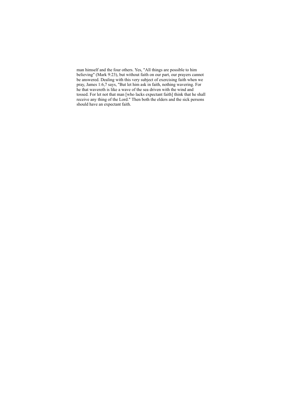man himself and the four others. Yes, "All things are possible to him believing" (Mark 9:23), but without faith on our part, our prayers cannot be answered. Dealing with this very subject of exercising faith when we pray, James 1:6,7 says, "But let him ask in faith, nothing wavering. For he that wavereth is like a wave of the sea driven with the wind and tossed. For let not that man [who lacks expectant faith] think that he shall receive any thing of the Lord." Then both the elders and the sick persons should have an expectant faith.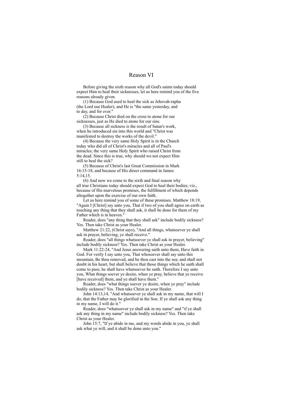#### Reason VI

Before giving the sixth reason why all God's saints today should expect Him to heal their sicknesses, let us here remind you of the five reasons already given.

(1) Because God used to heal the sick as Jehovah-rapha (the Lord our Healer), and He is "the same yesterday, and to day, and for ever."

(2) Because Christ died on the cross to atone for our sicknesses, just as He died to atone for our sins.

(3) Because all sickness is the result of Satan's work, when he introduced sin into this world and "Christ was manifested to destroy the works of the devil."

(4) Because the very same Holy Spirit is in the Church today who did all of Christ's miracles and all of Paul's miracles; the very same Holy Spirit who raised Christ from the dead. Since this is true, why should we not expect Him still to heal the sick?

(5) Because of Christ's last Great Commission in Mark 16:15-18, and because of His direct command in James 5:14,15.

(6) And now we come to the sixth and final reason why all true Christians today should expect God to heal their bodies; viz., because of His marvelous promises, the fulfillment of which depends altogether upon the exercise of our own faith.

Let us here remind you of some of these promises. Matthew 18:19, "Again I [Christ] say unto you, That if two of you shall agree on earth as touching any thing that they shall ask, it shall be done for them of my Father which is in heaven."

Reader, does "any thing that they shall ask" include bodily sickness? Yes. Then take Christ as your Healer.

Matthew 21:22, (Christ says), "And all things, whatsoever ye shall ask in prayer, believing, ye shall receive."

Reader, does "all things whatsoever ye shall ask in prayer, believing" include bodily sickness? Yes. Then take Christ as your Healer.

Mark 11:22-24, "And Jesus answering saith unto them, Have faith in God. For verily I say unto you, That whosoever shall say unto this mountain, Be thou removed, and be thou cast into the sea; and shall not doubt in his heart, but shall believe that those things which he saith shall come to pass; he shall have whatsoever he saith. Therefore I say unto you, What things soever ye desire, when ye pray, believe that ye receive [have received] them, and ye shall have them."

Reader, does "what things soever ye desire, when ye pray" include bodily sickness? Yes. Then take Christ as your Healer.

John 14:13,14, "And whatsoever ye shall ask in my name, that will I do, that the Father may be glorified in the Son. If ye shall ask any thing in my name, I will do it."

Reader, does "whatsoever ye shall ask in my name" and "if ye shall ask any thing in my name" include bodily sickness? Yes. Then take Christ as your Healer.

John 15:7, "If ye abide in me, and my words abide in you, ye shall ask what ye will, and it shall be done unto you."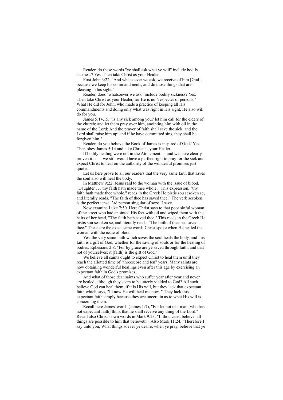Reader, do these words "ye shall ask what ye will" include bodily sickness? Yes. Then take Christ as your Healer.

First John 3:22, "And whatsoever we ask, we receive of him [God], because we keep his commandments, and do those things that are pleasing in his sight."

Reader, does "whatsoever we ask" include bodily sickness? Yes. Then take Christ as your Healer, for He is no "respecter of persons." What He did for John, who made a practice of keeping all His commandments and doing only what was right in His sight, He also will do for you.

James 5:14,15, "Is any sick among you? let him call for the elders of the church; and let them pray over him, anointing him with oil in the name of the Lord: And the prayer of faith shall save the sick, and the Lord shall raise him up; and if he have committed sins, they shall be forgiven him."

Reader, do you believe the Book of James is inspired of God? Yes. Then obey James 5:14 and take Christ as your Healer.

If bodily healing were not in the Atonement — and we have clearly proven it is — we still would have a perfect right to pray for the sick and expect Christ to heal on the authority of the wonderful promises just quoted.

Let us here prove to all our readers that the very same faith that saves the soul also will heal the body.

In Matthew 9:22, Jesus said to the woman with the issue of blood, "Daughter . . . thy faith hath made thee whole." This expression, "thy faith hath made thee whole," reads in the Greek He pistis sou sesoken se, and literally reads, "The faith of thee has saved thee." The verb sesoken is the perfect tense, 3rd person singular of sozo, I save.

Now examine Luke 7:50. Here Christ says to that poor sinful woman of the street who had anointed His feet with oil and wiped them with the hairs of her head, "Thy faith hath saved thee." This reads in the Greek He pistis sou sesoken se, and literally reads, "The faith of thee has saved thee." These are the exact same words Christ spoke when He healed the woman with the issue of blood.

Yes, the very same faith which saves the soul heals the body, and this faith is a gift of God, whether for the saving of souls or for the healing of bodies. Ephesians 2:8, "For by grace are ye saved through faith; and that not of yourselves: it [faith] is the gift of God."

We believe all saints ought to expect Christ to heal them until they reach the allotted time of "threescore and ten" years. Many saints are now obtaining wonderful healings even after this age by exercising an expectant faith in God's promises.

And what of those dear saints who suffer year after year and never are healed, although they seem to be utterly yielded to God? All such believe God can heal them, if it is His will, but they lack that expectant faith which says, "I know He will heal me now. " They lack this expectant faith simply because they are uncertain as to what His will is concerning them.

Recall here James' words (James 1:7), "For let not that man [who has not expectant faith] think that he shall receive any thing of the Lord." Recall also Christ's own words in Mark 9:23, "If thou canst believe, all things are possible to him that believeth." Also Mark 11:24, "Therefore I say unto you, What things soever ye desire, when ye pray, believe that ye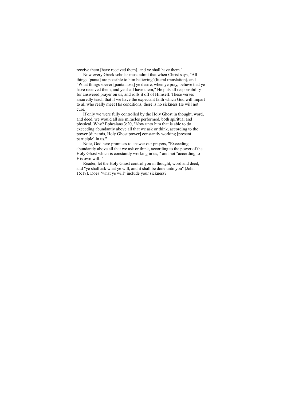receive them [have received them], and ye shall have them."

Now every Greek scholar must admit that when Christ says, "All things [panta] are possible to him believing"(literal translation), and "What things soever [panta hosa] ye desire, when ye pray, believe that ye have received them, and ye shall have them," He puts all responsibility for answered prayer on us, and rolls it off of Himself. These verses assuredly teach that if we have the expectant faith which God will impart to all who really meet His conditions, there is no sickness He will not cure.

If only we were fully controlled by the Holy Ghost in thought, word, and deed, we would all see miracles performed, both spiritual and physical. Why? Ephesians 3:20, "Now unto him that is able to do exceeding abundantly above all that we ask or think, according to the power [dunamis, Holy Ghost power] constantly working [present participle] in us."

Note, God here promises to answer our prayers, "Exceeding abundantly above all that we ask or think, according to the power of the Holy Ghost which is constantly working in us, " and not "according to His own will. "

Reader, let the Holy Ghost control you in thought, word and deed, and "ye shall ask what ye will, and it shall be done unto you" (John 15:17). Does "what ye will" include your sickness?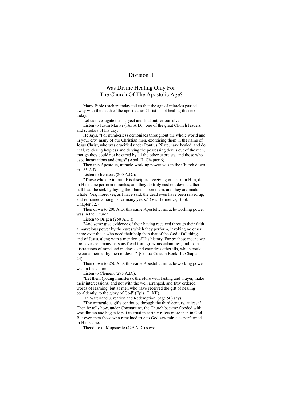## Division II

## Was Divine Healing Only For The Church Of The Apostolic Age?

Many Bible teachers today tell us that the age of miracles passed away with the death of the apostles, so Christ is not healing the sick today.

Let us investigate this subject and find out for ourselves.

Listen to Justin Martyr (165 A.D.), one of the great Church leaders and scholars of his day:

He says, "For numberless demoniacs throughout the whole world and in your city, many of our Christian men, exorcising them in the name of Jesus Christ, who was crucified under Pontius Pilate, have healed, and do heal, rendering helpless and driving the possessing devils out of the men, though they could not be cured by all the other exorcists, and those who used incantations and drugs" (Apol. II, Chapter 6).

Then this Apostolic, miracle-working power was in the Church down to 165 A.D.

Listen to Irenaeus (200 A.D.):

"Those who are in truth His disciples, receiving grace from Him, do in His name perform miracles; and they do truly cast out devils. Others still heal the sick by laying their hands upon them, and they are made whole. Yea, moreover, as I have said, the dead even have been raised up, and remained among us for many years." (Vs. Hermetics, Book I, Chapter 32.)

Then down to 200 A.D. this same Apostolic, miracle-working power was in the Church.

Listen to Origen (250 A.D.):

"And some give evidence of their having received through their faith a marvelous power by the cures which they perform, invoking no other name over those who need their help than that of the God of all things, and of Jesus, along with a mention of His history. For by these means we too have seen many persons freed from grievous calamities, and from distractions of mind and madness, and countless other ills, which could be cured neither by men or devils" {Contra Celsum Book III, Chapter 24).

Then down to 250 A.D. this same Apostolic, miracle-working power was in the Church.

Listen to Clement (275 A.D.):

"Let them (young ministers), therefore with fasting and prayer, make their intercessions, and not with the well arranged, and fitly ordered words of learning, but as men who have received the gift of healing confidently, to the glory of God" (Epis. C. XII).

Dr. Waterland (Creation and Redemption, page 50) says:

"The miraculous gifts continued through the third century, at least." Then he tells how, under Constantine, the Church became flooded with worldliness and began to put its trust in earthly rulers more than in God. But even then those who remained true to God saw miracles performed in His Name.

Theodore of Mopsueste (429 A.D.) says: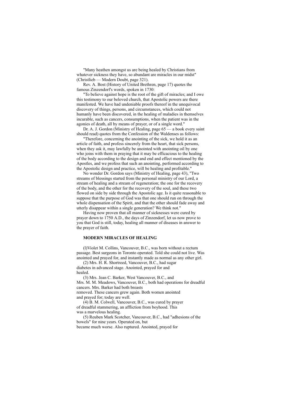"Many heathen amongst us are being healed by Christians from whatever sickness they have, so abundant are miracles in our midst" (Christlieb — Modern Doubt, page 321).

Rev. A. Bost (History of United Brethren, page 17) quotes the famous Zinzendorf's words, spoken in 1730:

"To believe against hope is the root of the gift of miracles; and I owe this testimony to our beloved church, that Apostolic powers are there manifested. We have had undeniable proofs thereof in the unequivocal discovery of things, persons, and circumstances, which could not humanly have been discovered, in the healing of maladies in themselves incurable, such as cancers, consumptions, when the patient was in the agonies of death, all by means of prayer, or of a single word."

Dr. A. J. Gordon (Ministry of Healing, page 65 — a book every saint should read) quotes from the Confession of the Waldenses as follows:

"Therefore, concerning the anointing of the sick, we hold it as an article of faith, and profess sincerely from the heart, that sick persons, when they ask it, may lawfully be anointed with anointing oil by one who joins with them in praying that it may be efficacious to the healing of the body according to the design and end and effect mentioned by the Apostles, and we profess that such an anointing, performed according to the Apostolic design and practice, will be healing and profitable."

No wonder Dr. Gordon says (Ministry of Healing, page 43), "Two streams of blessings started from the personal ministry of our Lord, a stream of healing and a stream of regeneration; the one for the recovery of the body, and the other for the recovery of the soul, and these two flowed on side by side through the Apostolic age. Is it quite reasonable to suppose that the purpose of God was that one should run on through the whole dispensation of the Spirit, and that the other should fade away and utterly disappear within a single generation? We think not."

Having now proven that all manner of sicknesses were cured by prayer down to 1750 A.D., the days of Zinzendorf, let us now prove to you that God is still, today, healing all manner of diseases in answer to the prayer of faith.

#### **MODERN MIRACLES OF HEALING**

(l)Violet M. Collins, Vancouver, B.C., was born without a rectum passage. Best surgeons in Toronto operated. Told she could not live. Was anointed and prayed for, and instantly made as normal as any other girl.

(2) Mrs. H. R. Shortreed, Vancouver, B.C., had sugar diabetes in advanced stage. Anointed, prayed for and healed.

(3) Mrs. Jean C. Barker, West Vancouver, B.C., and Mrs. M. M. Meadows, Vancouver, B.C., both had operations for dreadful cancers. Mrs. Barker had both breasts removed. These cancers grew again. Both women anointed and prayed for; today are well.

(4) B. M. Colwell, Vancouver, B.C., was cured by prayer of dreadful stammering, an affliction from boyhood. This was a marvelous healing.

(5) Reuben Mark Scotcher, Vancouver, B.C., had "adhesions of the bowels" for nine years. Operated on, but

became much worse. Also ruptured. Anointed, prayed for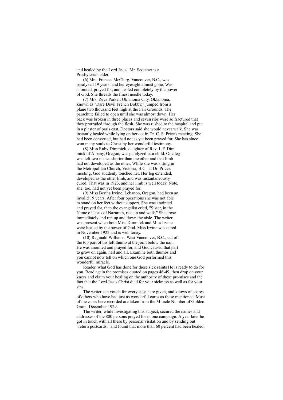and healed by the Lord Jesus. Mr. Scotcher is a Presbyterian elder.

(6) Mrs. Frances McClurg, Vancouver, B.C., was paralyzed 19 years, and her eyesight almost gone. Was anointed, prayed for, and healed completely by the power of God. She threads the finest needle today.

(7) Mrs. Zeva Parker, Oklahoma City, Oklahoma, known as "Dare Devil French Bobby," jumped from a plane two thousand feet high at the Fair Grounds. The parachute failed to open until she was almost down. Her back was broken in three places and seven ribs were so fractured that they protruded through the flesh. She was rushed to the hospital and put in a plaster of paris cast. Doctors said she would never walk. She was instantly healed while lying on her cot in Dr. C. S. Price's meeting. She had been converted, but had not as yet been prayed for. She has since won many souls to Christ by her wonderful testimony.

(8) Miss Ruby Dimmick, daughter of Rev. J. F. Dimmick of Albany, Oregon, was paralyzed as a child. One leg was left two inches shorter than the other and that limb had not developed as the other. While she was sitting in the Metropolitan Church, Victoria, B.C., at Dr. Price's meeting, God suddenly touched her. Her leg extended, developed as the other limb, and was instantaneously cured. That was in 1923, and her limb is well today. Note, she, too, had not yet been prayed for.

(9) Miss Bertha Irvine, Lebanon, Oregon, had been an invalid 19 years. After four operations she was not able to stand on her feet without support. She was anointed and prayed for, then the evangelist cried, "Sister, in the Name of Jesus of Nazareth, rise up and walk." She arose immediately and ran up and down the aisle. The writer was present when both Miss Dimmick and Miss Irvine were healed by the power of God. Miss Irvine was cured in November 1922 and is well today.

(10) Reginald Williams, West Vancouver, B.C., cut off the top part of his left thumb at the joint below the nail. He was anointed and prayed for, and God caused that part to grow on again, nail and all. Examine both thumbs and you cannot now tell on which one God performed this wonderful miracle.

Reader, what God has done for these sick saints He is ready to do for you. Read again the promises quoted on pages 46-49, then drop on your knees and claim your healing on the authority of these promises and the fact that the Lord Jesus Christ died for your sickness as well as for your sins.

The writer can vouch for every case here given, and knows of scores of others who have had just as wonderful cures as these mentioned. Most of the cases here recorded are taken from the Miracle Number of Golden Grain, December 1929.

The writer, while investigating this subject, secured the names and addresses of the 800 persons prayed for in one campaign. A year later he got in touch with all these by personal visitation and by sending out "return postcards," and found that more than 60 percent had been healed,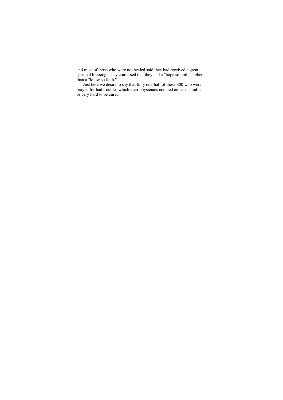and most of those who were not healed said they had received a great spiritual blessing. They confessed that they had a "hope so faith," rather than a "know so faith."

Just here we desire to say that fully one-half of these 800 who were prayed for had troubles which their physicians counted either incurable or very hard to be cured.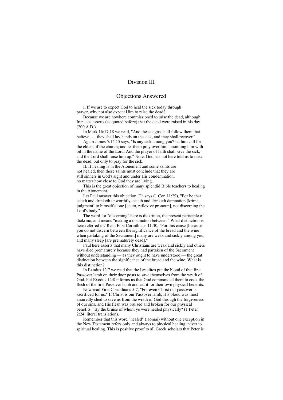## Division III

#### Objections Answered

I. If we are to expect God to heal the sick today through prayer, why not also expect Him to raise the dead?

Because we are nowhere commissioned to raise the dead, although Irenaeus asserts (as quoted before) that the dead were raised in his day (200 A.D.).

In Mark 16:17,18 we read, "And these signs shall follow them that believe . . . they shall lay hands on the sick, and they shall recover."

Again James 5:14,15 says, "Is any sick among you? let him call for the elders of the church; and let them pray over him, anointing him with oil in the name of the Lord: And the prayer of faith shall save the sick, and the Lord shall raise him up." Note, God has not here told us to raise the dead, but only to pray for the sick.

II. If healing is in the Atonement and some saints are not healed, then these saints must conclude that they are still sinners in God's sight and under His condemnation, no matter how close to God they are living.

This is the great objection of many splendid Bible teachers to healing in the Atonement.

Let Paul answer this objection. He says (1 Cor. 11:29), "For he that eateth and drinketh unworthily, eateth and drinketh damnation [krima, judgment] to himself alone [eauto, reflexive pronoun], not discerning the Lord's body."

The word for "discerning" here is diakrinon, the present participle of diakrino, and means "making a distinction between." What distinction is here referred to? Read First Corinthians 11:30, "For this cause [because you do not discern between the significance of the bread and the wine when partaking of the Sacrament] many are weak and sickly among you, and many sleep [are prematurely dead]."

Paul here asserts that many Christians are weak and sickly and others have died prematurely because they had partaken of the Sacrament without understanding — as they ought to have understood — the great distinction between the significance of the bread and the wine. What is this distinction?

In Exodus 12:7 we read that the Israelites put the blood of that first Passover lamb on their door posts to save themselves from the wrath of God, but Exodus 12:8 informs us that God commanded them to cook the flesh of the first Passover lamb and eat it for their own physical benefits.

Now read First Corinthians 5:7, "For even Christ our passover is sacrificed for us." If Christ is our Passover lamb, His blood was most assuredly shed to save us from the wrath of God through the forgiveness of our sins, and His flesh was bruised and broken for our physical benefits. "By the bruise of whom ye were healed physically" (1 Peter 2:24, literal translation).

Remember that this word "healed" (iaomai) without one exception in the New Testament refers only and always to physical healing, never to spiritual healing. This is positive proof to all Greek scholars that Peter is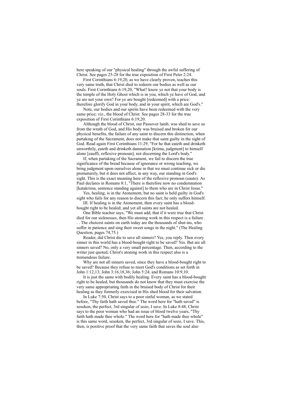here speaking of our "physical healing" through the awful suffering of Christ. See pages 25-28 for the true exposition of First Peter 2:24.

First Corinthians 6:19,20, as we have clearly proven, teaches this very same truth, that Christ died to redeem our bodies as well as our souls. First Corinthians 6:19,20, "What? know ye not that your body is the temple of the Holy Ghost which is in you, which ye have of God, and ye are not your own? For ye are bought [redeemed] with a price: therefore glorify God in your body, and in your spirit, which are God's."

Note, our bodies and our spirits have been redeemed with the very same price; viz., the blood of Christ. See pages 28-33 for the true exposition of First Corinthians 6:19,20.

Although the blood of Christ, our Passover lamb, was shed to save us from the wrath of God, and His body was bruised and broken for our physical benefits, the failure of any saint to discern this distinction, when partaking of the Sacrament, does not make that saint guilty in the sight of God. Read again First Corinthians 11:29, "For he that eateth and drinketh unworthily, eateth and drinketh damnation [krima, judgment] to himself alone [eauffi, reflexive pronoun], not discerning the Lord's body."

If, when partaking of the Sacrament, we fail to discern the true significance of the bread because of ignorance or wrong teaching, we bring judgment upon ourselves alone in that we must continue sick or die prematurely, but it does not affect, in any way, our standing in God's sight. This is the exact meaning here of the reflexive pronoun (eauto). As Paul declares in Romans 8:1, "There is therefore now no condemnation [katakrima, sentence standing against] to them who are in Christ Jesus."

Yes, healing, is in the Atonement, but no saint is held guilty in God's sight who fails for any reason to discern this fact; he only suffers himself.

III. If healing is in the Atonement, then every saint has a bloodbought right to be healed; and yet all saints are not healed.

One Bible teacher says, "We must add, that if it were true that Christ died for our sicknesses, then His atoning work in this respect is a failure . . . The choicest saints on earth today are the thousands of shut-ins, who suffer in patience and sing their sweet songs in the night." (The Healing Question, pages 74,75.)

Reader, did Christ die to save all sinners? Yes, you reply. Then every sinner in this world has a blood-bought right to be saved? Yes. But are all sinners saved? No, only a very small percentage. Then, according to the writer just quoted, Christ's atoning work in this respect also is a tremendous failure.

Why are not all sinners saved, since they have a blood-bought right to be saved? Because they refuse to meet God's conditions as set forth in John 1:12,13; John 3:16,18,36; John 5:24; and Romans 10:9,10.

It is just the same with bodily healing. Every saint has a blood-bought right to be healed, but thousands do not know that they must exercise the very same appropriating faith in the bruised body of Christ for their healing as they formerly exercised in His shed blood for their salvation.

In Luke 7:50, Christ says to a poor sinful woman, as we stated before, "Thy faith hath saved thee." The word here for "hath saved" is sesoken, the perfect, 3rd singular of sozo, I save. In Luke 8:48, Christ says to the poor woman who had an issue of blood twelve years, "Thy faith hath made thee whole." The word here for "hath made thee whole" is this same word, sesoken, the perfect, 3rd singular of sozo, I save. This, then, is positive proof that the very same faith that saves the soul also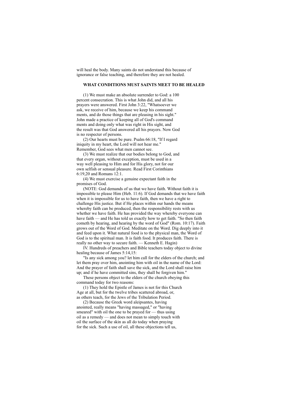will heal the body. Many saints do not understand this because of ignorance or false teaching, and therefore they are not healed.

#### **WHAT CONDITIONS MUST SAINTS MEET TO BE HEALED**

(1) We must make an absolute surrender to God: a 100 percent consecration. This is what John did, and all his prayers were answered. First John 3:22, "Whatsoever we ask, we receive of him, because we keep his command ments, and do those things that are pleasing in his sight." John made a practice of keeping all of God's command ments and doing only what was right in His sight, and the result was that God answered all his prayers. Now God is no respecter of persons.

(2) Our hearts must be pure. Psalm 66:18, "If I regard iniquity in my heart, the Lord will not hear me." Remember, God sees what men cannot see.

(3) We must realize that our bodies belong to God, and that every organ, without exception, must be used in a way well pleasing to Him and for His glory, not for our own selfish or sensual pleasure. Read First Corinthians 6:19,20 and Romans 12:1.

(4) We must exercise a genuine expectant faith in the promises of God.

(NOTE: God demands of us that we have faith. Without faith it is impossible to please Him (Heb. 11:6). If God demands that we have faith when it is impossible for us to have faith, then we have a right to challenge His justice. But if He places within our hands the means whereby faith can be produced, then the responsibility rests with us whether we have faith. He has provided the way whereby everyone can have faith — and He has told us exactly how to get faith. "So then faith cometh by hearing, and hearing by the word of God" (Rom. 10:17). Faith grows out of the Word of God. Meditate on the Word. Dig deeply into it and feed upon it. What natural food is to the physical man, the Word of God is to the spiritual man. It is faith food. It produces faith. There is really no other way to secure faith. — Kenneth E. Hagin)

IV. Hundreds of preachers and Bible teachers today object to divine healing because of James 5:14,15:

"Is any sick among you? let him call for the elders of the church; and let them pray over him, anointing him with oil in the name of the Lord: And the prayer of faith shall save the sick, and the Lord shall raise him up; and if he have committed sins, they shall be forgiven him."

These persons object to the elders of the church obeying this command today for two reasons:

(1) They hold the Epistle of James is not for this Church Age at all, but for the twelve tribes scattered abroad, or, as others teach, for the Jews of the Tribulation Period.

(2) Because the Greek word aleipsantes, having anointed, really means "having massaged," or "having smeared" with oil the one to be prayed for — thus using oil as a remedy — and does not mean to simply touch with oil the surface of the skin as all do today when praying for the sick. Such a use of oil, all these objections tell us,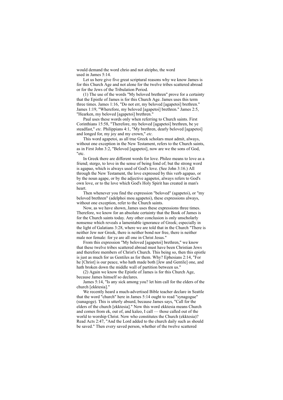would demand the word chrio and not aleipho, the word used in James 5:14.

Let us here give five great scriptural reasons why we know James is for this Church Age and not alone for the twelve tribes scattered abroad or for the Jews of the Tribulation Period.

(1) The use of the words "My beloved brethren" prove for a certainty that the Epistle of James is for this Church Age. James uses this term three times. James 1:16, "Do not err, my beloved [agapetoi] brethren." James 1:19, "Wherefore, my beloved [agapetoi] brethren." James 2:5, "Hearken, my beloved [agapetoi] brethren."

Paul uses these words only when referring to Church saints. First Corinthians 15:58, "Therefore, my beloved [agapetoi] brethren, be ye steadfast," *etc.* Philippians 4:1, "My brethren, dearly beloved [agapetoi] and longed for, my joy and my crown," *etc.*

This word agapetoi, as all true Greek scholars must admit, always, without one exception in the New Testament, refers to the Church saints, as in First John 3:2, "Beloved [agapetoi], now are we the sons of God, "etc.

In Greek there are different words for love. Phileo means to love as a friend; stergo, to love in the sense of being fond of; but the strong word is agapao, which is always used of God's love. (See John 3:16.) All through the New Testament, the love expressed by this verb agapao, or by the noun agape, or by the adjective agapetoi, always refers to God's own love, or to the love which God's Holy Spirit has created in man's heart.

Then whenever you find the expression "beloved" (agapetoi), or "my beloved brethren" (adelphoi mou agapetoi), these expressions always, without one exception, refer to the Church saints.

Now, as we have shown, James uses these expressions three times. Therefore, we know for an absolute certainty that the Book of James is for the Church saints today. Any other conclusion is only unscholarly nonsense which reveals a lamentable ignorance of Greek; especially in the light of Galatians 3:28, where we are told that in the Church "There is neither Jew nor Greek, there is neither bond nor free, there is neither male nor female: for ye are all one in Christ Jesus."

From this expression "My beloved [agapetoi] brethren," we know that these twelve tribes scattered abroad must have been Christian Jews and therefore members of Christ's Church. This being so, then this epistle is just as much for us Gentiles as for them. Why? Ephesians 2:14, "For he [Christ] is our peace, who hath made both [Jew and Gentile] one, and hath broken down the middle wall of partition between us."

(2) Again we know the Epistle of James is for this Church Age, because James himself so declares.

James 5:14, "Is any sick among you? let him call for the elders of the church [ekktesia]."

We recently heard a much-advertised Bible teacher declare in Seattle that the word "church" here in James 5:14 ought to read "synagogue" (sunagoge). This is utterly absurd, because James says, "Call for the elders of the church [ekktesia]." Now this word ekktesia means Church and comes from ek, out of, and kaleo, I call — those called out of the world to worship Christ. Now who constitutes the Church (ekktesia)? Read Acts 2:47, "And the Lord added to the church daily such as should be saved." Then every saved person, whether of the twelve scattered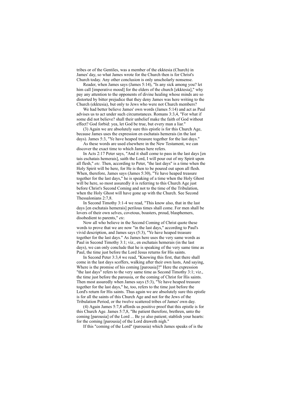tribes or of the Gentiles, was a member of the ekktesia (Church) in James' day, so what James wrote for the Church then is for Christ's Church today. Any other conclusion is only unscholarly nonsense.

Reader, when James says (James 5:14), "Is any sick among you? let him call [imperative mood] for the elders of the church [ekktesia]," why pay any attention to the opponents of divine healing whose minds are so distorted by bitter prejudice that they deny James was here writing to the Church (ekktesia), but only to Jews who were not Church members?

We had better believe James' own words (James 5:14) and act as Paul advises us to act under such circumstances. Romans 3:3,4, "For what if some did not believe? shall their unbelief make the faith of God without effect? God forbid: yea, let God be true, but every man a liar."

(3) Again we are absolutely sure this epistle is for this Church Age, because James uses the expression en eschatais hemerais (in the last days). James 5:3, "Ye have heaped treasure together for the last days."

As these words are used elsewhere in the New Testament, we can discover the exact time to which James here refers.

In Acts 2:17 Peter says, "And it shall come to pass in the last days [en tais eschatais hemerais], saith the Lord, I will pour out of my Spirit upon all flesh," *etc.* Then, according to Peter, "the last days" is a time when the Holy Spirit will be here, for He is then to be poured out upon all flesh. When, therefore, James says (James 5:30), "Ye have heaped treasure together for the last days," he is speaking of a time when the Holy Ghost will be here, so most assuredly it is referring to this Church Age just before Christ's Second Coming and not to the time of the Tribulation, when the Holy Ghost will have gone up with the Church. See Second Thessalonians 2:7,8.

In Second Timothy 3:1-4 we read, "This know also, that in the last days [en eschatais hemerais] perilous times shall come. For men shall be lovers of their own selves, covetous, boasters, proud, blasphemers, disobedient to parents," *etc.*

Now all who believe in the Second Coming of Christ quote these words to prove that we are now "in the last days," according to Paul's vivid description, and James says (5:3), "Ye have heaped treasure together for the last days." As James here uses the very same words as Paul in Second Timothy 3:1; viz., en eschatais hemerais (in the last days), we can only conclude that he is speaking of the very same time as Paul, the time just before the Lord Jesus returns for His saints.

In Second Peter 3:3,4 we read, "Knowing this first, that there shall come in the last days scoffers, walking after their own lusts, And saying, Where is the promise of his coming [parousia]?" Here the expression "the last days" refers to the very same time as Second Timothy 3:1; viz., the time just before the parousia, or the coming of Christ for His saints. Then most assuredly when James says (5:3), "Ye have heaped treasure together for the last days," he, too, refers to the time just before the Lord's return for His saints. Thus again we are absolutely sure this epistle is for all the saints of this Church Age and not for the Jews of the Tribulation Period, or the twelve scattered tribes of James' own day.

(4) Again James 5:7,8 affords us positive proof that this epistle is for this Church Age. James 5:7,8, "Be patient therefore, brethren, unto the coming [parousia] of the Lord ... Be ye also patient; stablish your hearts: for the coming [parousia] of the Lord draweth nigh."

If this "coming of the Lord" (parousia) which James speaks of is the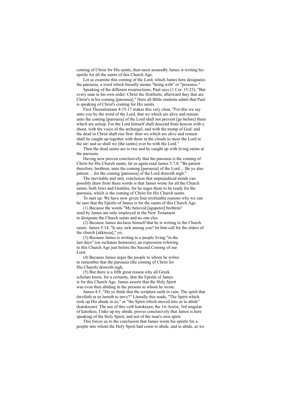coming of Christ for His saints, then most assuredly James is writing his epistle for all the saints of this Church Age.

Let us examine this coming of the Lord, which James here designates the parousia, a word which literally means "being with" or "presence."

Speaking of the different resurrections, Paul says (1 Cor. 15:23), "But every man in his own order: Christ the firstfruits; afterward they that are Christ's at his coming [parousia]." Here all Bible students admit that Paul is speaking of Christ's coming for His saints.

First Thessalonians 4:15-17 makes this very clear, "For this we say unto you by the word of the Lord, that we which are alive and remain unto the coming [parousia] of the Lord shall not prevent [go before] them which are asleep. For the Lord himself shall descend from heaven with a shout, with the voice of the archangel, and with the trump of God: and the dead in Christ shall rise first: then we which are alive and remain shall be caught up together with them in the clouds to meet the Lord in the air: and so shall we [the saints] ever be with the Lord."

Then the dead saints are to rise and be caught up with living saints at the parousia.

Having now proven conclusively that the parousia is the coming of Christ for His Church saints, let us again read James 5:7,8, "Be patient therefore, brethren, unto the coming [parousia] of the Lord ... Be ye also patient ... for the coming [parousia] of the Lord draweth nigh."

The inevitable and only conclusion that unprejudiced minds can possibly draw from these words is that James wrote for all the Church saints, both Jews and Gentiles, for he urges them to be ready for the parousia, which is the coming of Christ for His Church saints.

To sum up: We have now given four irrefutable reasons why we can be sure that the Epistle of James is for the saints of this Church Age.

(1) Because the words "My beloved [agapetoi] brethren" used by James are only employed in the New Testament to designate the Church saints and no one else.

(2) Because James declares himself that he is writing to the Church saints. James 5:14, "Is any sick among you? let him call for the elders of the church [ekktesia]," *etc.*

(3) Because James is writing to a people living "in the last days" (en eschatais hemerais), an expression referring to this Church Age just before the Second Coming of our Lord.

(4) Because James urges the people to whom he writes to remember that the parousia (the coming of Christ for His Church) draweth nigh.

(5) But there is a fifth great reason why all Greek scholars know, for a certainty, that the Epistle of James is for this Church Age. James asserts that the Holy Spirit was even then abiding in the persons to whom he wrote.

James 4:5, "Do ye think that the scripture saith in vain, The spirit that dwelleth in us lusteth to envy?" Literally this reads, "The Spirit which took up His abode in us," or "the Spirit which moved into us to abide" (katokesen). The use of this verb katokesen, the 1st Aorist, 3rd singular of katoikeo, I take up my abode, proves conclusively that James is here speaking of the Holy Spirit, and not of the man's own spirit.

This forces us to the conclusion that James wrote his epistle for a people into whom the Holy Spirit had come to abide, and to abide, as we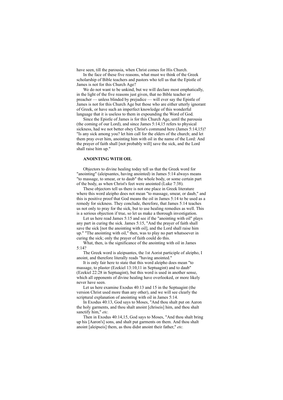have seen, till the parousia, when Christ comes for His Church.

In the face of these five reasons, what must we think of the Greek scholarship of Bible teachers and pastors who tell us that the Epistle of James is not for this Church Age?

We do not want to be unkind, but we will declare most emphatically, in the light of the five reasons just given, that no Bible teacher or preacher — unless blinded by prejudice — will ever say the Epistle of James is not for this Church Age but those who are either utterly ignorant of Greek, or have such an imperfect knowledge of this wonderful language that it is useless to them in expounding the Word of God.

Since the Epistle of James is for this Church Age, until the parousia (the coming of our Lord), and since James 5:14,15 refers to physical sickness, had we not better obey Christ's command here (James 5:14,15)? "Is any sick among you? let him call for the elders of the church; and let them pray over him, anointing him with oil in the name of the Lord: And the prayer of faith shall [not probably will] save the sick, and the Lord shall raise him up."

#### **ANOINTING WITH OIL**

Objectors to divine healing today tell us that the Greek word for "anointing" (aleipsantes, having anointed) in James 5:14 always means "to massage, to smear, or to daub" the whole body, or some certain part of the body, as when Christ's feet were anointed (Luke 7:38).

These objectors tell us there is not one place in Greek literature where this word aleipho does not mean "to massage, smear, or daub," and this is positive proof that God means the oil in James 5:14 to be used as a remedy for sickness. They conclude, therefore, that James 5:14 teaches us not only to pray for the sick, but to use healing remedies as well. This is a serious objection if true, so let us make a thorough investigation.

Let us here read James 5:15 and see if the "anointing with oil" plays any part in curing the sick. James 5:15, "And the prayer of faith shall save the sick [not the anointing with oil], and the Lord shall raise him up." "The anointing with oil," then, was to play no part whatsoever in curing the sick; only the prayer of faith could do this.

What, then, is the significance of the anointing with oil in James 5:14?

The Greek word is aleipsantes, the 1st Aorist participle of aleipho, I anoint, and therefore literally reads "having anointed."

It is only fair here to state that this word aleipho does mean "to massage, to plaster (Ezekiel 13:10,11 in Septuagint) and to daub" (Ezekiel 22:28 in Septuagint), but this word is used in another sense, which all opponents of divine healing have overlooked, or more likely never have seen.

Let us here examine Exodus 40:13 and 15 in the Septuagint (the version Christ used more than any other), and we will see clearly the scriptural explanation of anointing with oil in James 5:14.

In Exodus 40:13, God says to Moses, "And thou shalt put on Aaron the holy garments, and thou shalt anoint [chriseis] him, and thou shalt sanctify him," *etc.*

Then in Exodus 40:14,15, God says to Moses, "And thou shalt bring up his [Aaron's] sons, and shalt put garments on them. And thou shalt anoint [aleipseis] them, as thou didst anoint their father," *etc.*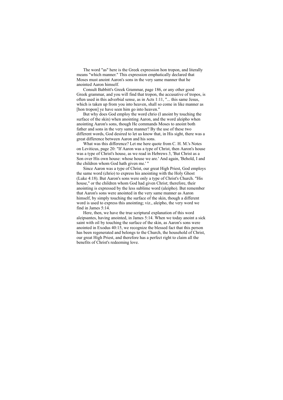The word "as" here is the Greek expression hon tropon, and literally means "which manner." This expression emphatically declared that Moses must anoint Aaron's sons in the very same manner that he anointed Aaron himself.

Consult Babbitt's Greek Grammar, page 186, or any other good Greek grammar, and you will find that tropon, the accusative of tropos, is often used in this adverbial sense, as in Acts 1:11, "... this same Jesus, which is taken up from you into heaven, shall so come in like manner as [hon tropon] ye have seen him go into heaven."

But why does God employ the word chrio (I anoint by touching the surface of the skin) when anointing Aaron, and the word aleipho when anointing Aaron's sons, though He commands Moses to anoint both father and sons in the very same manner? By the use of these two different words, God desired to let us know that, in His sight, there was a great difference between Aaron and his sons.

What was this difference? Let me here quote from C. H. M.'s Notes on Leviticus, page 20: "If Aaron was a type of Christ, then Aaron's house was a type of Christ's house, as we read in Hebrews 3, 'But Christ as a Son over His own house: whose house we are.' And again, 'Behold, I and the children whom God hath given me.' "

Since Aaron was a type of Christ, our great High Priest, God employs the same word (chrio) to express his anointing with the Holy Ghost (Luke 4:18). But Aaron's sons were only a type of Christ's Church. "His house," or the children whom God had given Christ; therefore, their anointing is expressed by the less sublime word (aleipho). But remember that Aaron's sons were anointed in the very same manner as Aaron himself, by simply touching the surface of the skin, though a different word is used to express this anointing; viz., aleipho, the very word we find in James 5:14.

Here, then, we have the true scriptural explanation of this word aleipsantes, having anointed, in James 5:14. When we today anoint a sick saint with oil by touching the surface of the skin, as Aaron's sons were anointed in Exodus 40:15, we recognize the blessed fact that this person has been regenerated and belongs to the Church, the household of Christ, our great High Priest, and therefore has a perfect right to claim all the benefits of Christ's redeeming love.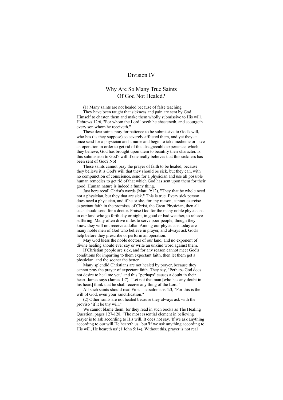## Division IV

## Why Are So Many True Saints Of God Not Healed?

(1) Many saints are not healed because of false teaching. They have been taught that sickness and pain are sent by God Himself to chasten them and make them wholly submissive to His will. Hebrews 12:6, "For whom the Lord loveth he chasteneth, and scourgeth every son whom he receiveth."

These dear saints pray for patience to be submissive to God's will, who has (as they suppose) so severely afflicted them, and yet they at once send for a physician and a nurse and begin to take medicine or have an operation in order to get rid of this disagreeable experience, which, they believe, God has brought upon them to beautify their character. Is this submission to God's will if one really believes that this sickness has been sent of God? No!

These saints cannot pray the prayer of faith to be healed, because they believe it is God's will that they should be sick, but they can, with no compunction of conscience, send for a physician and use all possible human remedies to get rid of that which God has sent upon them for their good. Human nature is indeed a funny thing.

Just here recall Christ's words (Matt. 9:12), "They that be whole need not a physician, but they that are sick." This is true. Every sick person does need a physician, and if he or she, for any reason, cannot exercise expectant faith in the promises of Christ, the Great Physician, then all such should send for a doctor. Praise God for the many noble physicians in our land who go forth day or night, in good or bad weather, to relieve suffering. Many often drive miles to serve poor people, though they know they will not receive a dollar. Among our physicians today are many noble men of God who believe in prayer, and always ask God's help before they prescribe or perform an operation.

May God bless the noble doctors of our land, and no exponent of divine healing should ever say or write an unkind word against them.

If Christian people are sick, and for any reason cannot meet God's conditions for imparting to them expectant faith, then let them get a physician, and the sooner the better.

Many splendid Christians are not healed by prayer, because they cannot pray the prayer of expectant faith. They say, "Perhaps God does not desire to heal me yet," and this "perhaps" causes a doubt in their heart. James says (James 1:7), "Let not that man [who has any doubt in his heart] think that he shall receive any thing of the Lord."

All such saints should read First Thessalonians 4:3, "For this is the will of God, even your sanctification."

(2) Other saints are not healed because they always ask with the proviso "if it be thy will."

We cannot blame them, for they read in such books as The Healing Question, pages 127-128, "The most essential element in believing prayer is to ask according to His will. It does not say, 'If we ask anything according to our will He heareth us,' but 'If we ask anything according to His will, He heareth us' (1 John 5:14). Without this, prayer is not real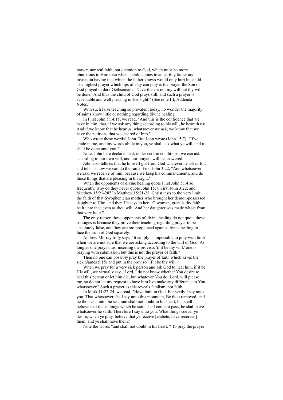prayer, nor real faith, but dictation to God, which must be more obnoxious to Him than when a child comes to an earthly father and insists on having that which the father knows would only hurt his child. The highest prayer which lips of clay can pray is the prayer the Son of God prayed in dark Gethsemane, 'Nevertheless not my will but thy will be done.' And thus the child of God prays still, and such a prayer is acceptable and well pleasing in His sight." (See note III, Addenda Notes.)

With such false teaching so prevalent today, no wonder the majority of saints know little or nothing regarding divine healing.

In First John 5:14,15, we read, "And this is the confidence that we have in him, that, if we ask any thing according to his will, he heareth us: And if we know that he hear us, whatsoever we ask, we know that we have the petitions that we desired of him."

Who wrote these words? John. But John wrote (John 15:7), "If ye abide in me, and my words abide in you, ye shall ask what ye will, and it shall be done unto you."

Note, John here declares that, under certain conditions, we can ask according to our own will, and our prayers will be answered.

John also tells us that he himself got from God whatever he asked for, and tells us how we can do the same. First John 3:22, "And whatsoever we ask, we receive of him, because we keep his commandments, and do those things that are pleasing in his sight."

When the opponents of divine healing quote First John 5:14 so frequently, why do they never quote John 15:7; First John 3:22; and Matthew 15:21-28? In Matthew 15:21-28, Christ tests to the very limit the faith of that Syrophenician mother who brought her demon-possessed daughter to Him, and then He says to her, "O woman, great is thy faith: be it unto thee even as thou wilt. And her daughter was made whole from that very hour."

The only reason these opponents of divine healing do not quote these passages is because they prove their teaching regarding prayer to be absolutely false, and they are too prejudiced against divine healing to face the truth of God squarely.

Andrew Murray truly says, "It simply is impossible to pray with faith when we are not sure that we are asking according to the will of God. As long as one prays thus, inserting the proviso, 'if it be thy will,' one is praying with submission but this is not the prayer of faith."

Then no one can possibly pray the prayer of faith which saves the sick (James 5:15) and put in the proviso "if it be thy will."

When we pray for a very sick person and ask God to heal him, if it be His will, we virtually say, "Lord, I do not know whether You desire to heal this person or let him die, but whatever You do, Lord, will please me, so do not let my request to have him live make any difference to You whatsoever." Such a prayer as this reveals fatalism, not faith.

In Mark 11:22-24, we read, "Have faith in God. For verily I say unto you, That whosoever shall say unto this mountain, Be thou removed, and be thou cast into the sea; and shall not doubt in his heart, but shall believe that those things which he saith shall come to pass; he shall have whatsoever he saith. Therefore I say unto you, What things soever ye desire, when ye pray, believe that ye receive [elabete, have received] them, and ye shall have them."

Note the words "and shall not doubt in his heart. " To pray the prayer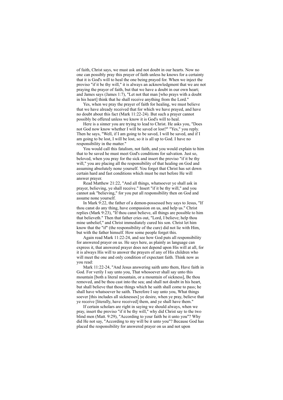of faith, Christ says, we must ask and not doubt in our hearts. Now no one can possibly pray this prayer of faith unless he knows for a certainty that it is God's will to heal the one being prayed for. When we inject the proviso "if it be thy will," it is always an acknowledgment that we are not praying the prayer of faith, but that we have a doubt in our own heart; and James says (James 1:7), "Let not that man [who prays with a doubt in his heart] think that he shall receive anything from the Lord."

Yes, when we pray the prayer of faith for healing, we must believe that we have already received that for which we have prayed, and have no doubt about this fact (Mark 11:22-24). But such a prayer cannot possibly be offered unless we know it is God's will to heal.

Here is a sinner you are trying to lead to Christ. He asks you, "Does not God now know whether I will be saved or lost?" "Yes," you reply. Then he says, "Well, if I am going to be saved, I will be saved, and if I am going to be lost, I will be lost, so it is all up to God. I have no responsibility in the matter."

You would call this fatalism, not faith, and you would explain to him that to be saved he must meet God's conditions for salvation. Just so, beloved, when you pray for the sick and insert the proviso "if it be thy will," you are placing all the responsibility of that healing on God and assuming absolutely none yourself. You forget that Christ has set down certain hard and fast conditions which must be met before He will answer prayer.

Read Matthew 21:22, "And all things, whatsoever ye shall ask in prayer, believing, ye shall receive." Insert "if it be thy will," and you cannot ask "believing," for you put all responsibility then on God and assume none yourself.

In Mark 9:22, the father of a demon-possessed boy says to Jesus, "If thou canst do any thing, have compassion on us, and help us." Christ replies (Mark 9:23), "If thou canst believe, all things are possible to him that believeth." Then that father cries out, "Lord, I believe; help thou mine unbelief," and Christ immediately cured his son. Christ let him know that the "if" (the responsibility of the cure) did not lie with Him, but with the father himself. How some people forget this.

Again read Mark 11:22-24, and see how God puts all responsibility for answered prayer on us. He says here, as plainly as language can express it, that answered prayer does not depend upon His will at all, for it is always His will to answer the prayers of any of His children who will meet the one and only condition of expectant faith. Think now as you read:

Mark 11:22-24, "And Jesus answering saith unto them, Have faith in God. For verily I say unto you, That whosoever shall say unto this mountain [both a literal mountain, or a mountain of sickness], Be thou removed, and be thou cast into the sea; and shall not doubt in his heart, but shall believe that those things which he saith shall come to pass; he shall have whatsoever he saith. Therefore I say unto you, What things soever [this includes all sicknesses] ye desire, when ye pray, believe that ye receive [literally, have received] them, and ye shall have them."

If certain scholars are right in saying we should always, when we pray, insert the proviso "if it be thy will," why did Christ say to the two blind men (Matt. 9:29), "According to your faith be it unto you"? Why did He not say, "According to my will be it unto you"? Because God has placed the responsibility for answered prayer on us and not upon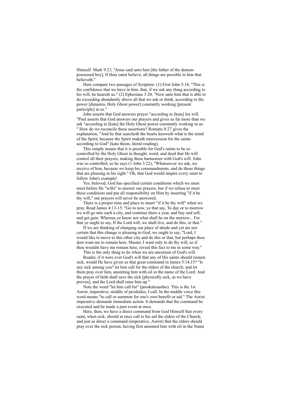Himself. Mark 9:23, "Jesus said unto him [the father of the demonpossessed boy], If thou canst believe, all things are possible to him that believeth."

Here compare two passages of Scripture: (1) First John 5:14, "This is the confidence that we have in him, that, if we ask any thing according to his will, he heareth us." (2) Ephesians 3:20, "Now unto him that is able to do exceeding abundantly above all that we ask or think, according to the power [dunamis, Holy Ghost power] constantly working [present participle] in us."

John asserts that God answers prayer "according to [kata] his will. "Paul asserts that God answers our prayers and gives us far more than we ask "according to [kata] the Holy Ghost power constantly working in us.

" How do we reconcile these assertions? Romans 8:27 gives the explanation, "And he that searcheth the hearts knoweth what is the mind of the Spirit, because the Spirit maketh intercession for the saints according to God" (kata theon, literal reading).

This simply means that it is possible for God's saints to be so controlled by the Holy Ghost in thought, word, and deed that He will control all their prayers, making these harmonize with God's will. John was so controlled, so he says (1 John 3:22), "Whatsoever we ask, we receive of him, because we keep his commandments, and do those things that are pleasing in his sight." Oh, that God would inspire every saint to follow John's example!

Yes, beloved, God has specified certain conditions which we must meet before He "wills" to answer our prayers, but if we refuse to meet these conditions and put all responsibility on Him by inserting "if it be thy will," our prayers will never be answered.

There is a proper time and place to insert "if it be thy will" when we pray. Read James 4:13-15: "Go to now, ye that say, To day or to morrow we will go into such a city, and continue there a year, and buy and sell, and get gain: Whereas ye know not what shall be on the morrow... For that ye ought to say, If the Lord will, we shall live, and do this, or that."

If we are thinking of changing our place of abode and yet are not certain that this change is pleasing to God, we ought to say, "Lord, I would like to move to this other city and do this or that, but perhaps thou dost want me to remain here. Master, I want only to do thy will, so if thou wouldst have me remain here, reveal this fact to me in some way."

This is the only thing to do when we are uncertain of God's will.

Reader, if it were ever God's will that any of His saints should remain sick, would He have given us that great command in James 5:14,15? "Is any sick among you? let him call for the elders of the church; and let them pray over him, anointing him with oil in the name of the Lord: And the prayer of faith shall save the sick [physically sick, as we have proven], and the Lord shall raise him up."

Note the word "let him call for" (proskalesastho). This is the 1st Aorist, imperative, middle of proskaleo, I call. In the middle voice this word means "to call or summon for one's own benefit or aid." The Aorist imperative demands immediate action. It demands that the command be executed and be made a past event at once.

Here, then, we have a direct command from God Himself that every saint, when sick, should at once call to his aid the elders of the Church, and just as direct a command (imperative, Aorist) that the elders should pray over the sick person, having first anointed him with oil in the Name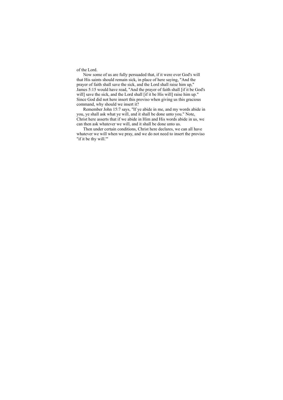#### of the Lord.

Now some of us are fully persuaded that, if it were ever God's will that His saints should remain sick, in place of here saying, "And the prayer of faith shall save the sick, and the Lord shall raise him up," James 5:15 would have read, "And the prayer of faith shall [if it be God's will] save the sick, and the Lord shall [if it be His will] raise him up." Since God did not here insert this proviso when giving us this gracious command, why should we insert it?

Remember John 15:7 says, "If ye abide in me, and my words abide in you, ye shall ask what ye will, and it shall be done unto you." Note, Christ here asserts that if we abide in Him and His words abide in us, we can then ask whatever we will, and it shall be done unto us.

Then under certain conditions, Christ here declares, we can all have whatever we will when we pray, and we do not need to insert the proviso "if it be thy will.'"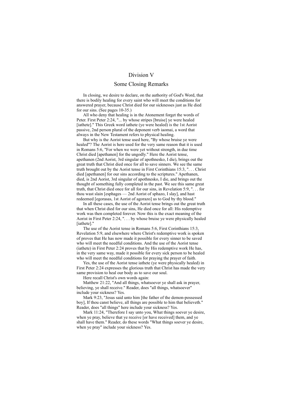## Division V

#### Some Closing Remarks

In closing, we desire to declare, on the authority of God's Word, that there is bodily healing for every saint who will meet the conditions for answered prayer, because Christ died for our sicknesses just as He died for our sins. (See pages 10-35.)

All who deny that healing is in the Atonement forget the words of Peter. First Peter 2:24, "... by whose stripes [bruise] ye were healed [iathete]." This Greek word iathete (ye were healed) is the 1st Aorist passive, 2nd person plural of the deponent verb iaomai, a word that always in the New Testament refers to physical healing.

But why is the Aorist tense used here, "By whose bruise ye were healed"? The Aorist is here used for the very same reason that it is used in Romans 5:6, "For when we were yet without strength, in due time Christ died [apethanen] for the ungodly." Here the Aorist tense, apethanen (2nd Aorist, 3rd singular of apothnesko, I die), brings out the great truth that Christ died once for all to save sinners. We see the same truth brought out by the Aorist tense in First Corinthians 15:3, ". . . Christ died [apethanen] for our sins according to the scriptures." Apethanen, died, is 2nd Aorist, 3rd singular of apothnesko, I die, and brings out the thought of something fully completed in the past. We see this same great truth, that Christ died once for all for our sins, in Revelation 5:9, ". . . for thou wast slain [esphages — 2nd Aorist of sphazo, I slay], and hast redeemed [egorasas, 1st Aorist of agorazo] us to God by thy blood."

In all these cases, the use of the Aorist tense brings out the great truth that when Christ died for our sins, He died once for all: His redemptive work was then completed forever. Now this is the exact meaning of the Aorist in First Peter 2:24, ". . . by whose bruise ye were physically healed [iathete]."

The use of the Aorist tense in Romans 5:6, First Corinthians 15:3, Revelation 5:9, and elsewhere where Christ's redemptive work is spoken of proves that He has now made it possible for every sinner to be saved who will meet the needful conditions. And the use of the Aorist tense (iathete) in First Peter 2:24 proves that by His redemptive work He has, in the very same way, made it possible for every sick person to be healed who will meet the needful conditions for praying the prayer of faith.

Yes, the use of the Aorist tense iathete (ye were physically healed) in First Peter 2:24 expresses the glorious truth that Christ has made the very same provision to heal our body as to save our soul.

Here recall Christ's own words again:

Matthew 21:22, "And all things, whatsoever ye shall ask in prayer, believing, ye shall receive." Reader, does "all things, whatsoever" include your sickness? Yes.

Mark 9:23, "Jesus said unto him [the father of the demon-possessed boy], If thou canst believe, all things are possible to him that believeth." Reader, does "all things" here include your sickness? Yes.

Mark 11:24, "Therefore I say unto you, What things soever ye desire, when ye pray, believe that ye receive [or have received] them, and ye shall have them." Reader, do these words "What things soever ye desire, when ye pray" include your sickness? Yes.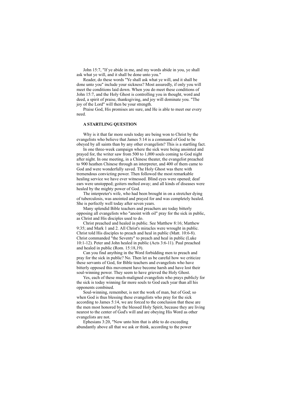John 15:7, "If ye abide in me, and my words abide in you, ye shall ask what ye will, and it shall be done unto you."

Reader, do these words "Ye shall ask what ye will, and it shall be done unto you" include your sickness? Most assuredly, if only you will meet the conditions laid down. When you do meet these conditions of John 15:7, and the Holy Ghost is controlling you in thought, word and deed, a spirit of praise, thanksgiving, and joy will dominate you. "The joy of the Lord" will then be your strength.

Praise God, His promises are sure, and He is able to meet our every need.

#### **A STARTLING QUESTION**

Why is it that far more souls today are being won to Christ by the evangelists who believe that James 5:14 is a command of God to be obeyed by all saints than by any other evangelists? This is a startling fact.

In one three-week campaign where the sick were being anointed and prayed for, the writer saw from 500 to 1,000 souls coming to God night after night. In one meeting, in a Chinese theater, the evangelist preached to 900 heathen Chinese through an interpreter, and 400 of them came to God and were wonderfully saved. The Holy Ghost was there with tremendous convicting power. Then followed the most remarkable healing service we have ever witnessed. Blind eyes were opened; deaf ears were unstopped; goiters melted away; and all kinds of diseases were healed by the mighty power of God.

The interpreter's wife, who had been brought in on a stretcher dying of tuberculosis, was anointed and prayed for and was completely healed. She is perfectly well today after seven years.

Many splendid Bible teachers and preachers are today bitterly opposing all evangelists who "anoint with oil" pray for the sick in public, as Christ and His disciples used to do.

Christ preached and healed in public. See Matthew 8:16; Matthew 9:35; and Mark 1 and 2. All Christ's miracles were wrought in public. Christ told His disciples to preach and heal in public (Matt. 10:6-8). Christ commanded "the Seventy" to preach and heal in public (Luke 10:1-12). Peter and John healed in public (Acts 3:6-11). Paul preached and healed in public (Rom. 15:18,19).

Can you find anything in the Word forbidding men to preach and pray for the sick in public? No. Then let us be careful how we criticize these servants of God, for Bible teachers and evangelists who have bitterly opposed this movement have become harsh and have lost their soul-winning power. They seem to have grieved the Holy Ghost.

Yes, each of these much-maligned evangelists who prays publicly for the sick is today winning far more souls to God each year than all his opponents combined.

Soul-winning, remember, is not the work of man, but of God; so when God is thus blessing these evangelists who pray for the sick according to James 5:14, we are forced to the conclusion that these are the men most honored by the blessed Holy Spirit, because they are living nearest to the center of God's will and are obeying His Word as other evangelists are not.

Ephesians 3:20, "Now unto him that is able to do exceeding abundantly above all that we ask or think, according to the power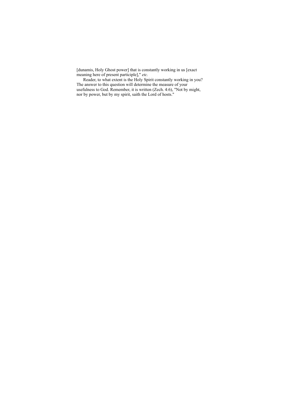[dunamis, Holy Ghost power] that is constantly working in us [exact meaning here of present participle]," *etc.*

Reader, to what extent is the Holy Spirit constantly working in you? The answer to this question will determine the measure of your usefulness to God. Remember, it is written (Zech. 4:6), "Not by might, nor by power, but by my spirit, saith the Lord of hosts."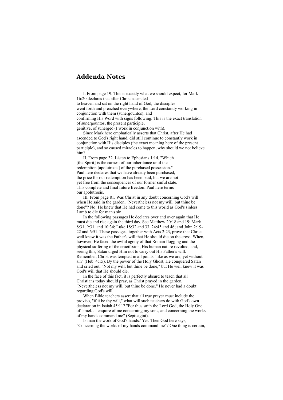## **Addenda Notes**

I. From page 19. This is exactly what we should expect, for Mark 16:20 declares that after Christ ascended to heaven and sat on the right hand of God, the disciples went forth and preached everywhere, the Lord constantly working in conjunction with them (sunergountos), and confirming His Word with signs following. This is the exact translation of sunergountos, the present participle,

genitive, of sunergeo (I work in conjunction with).

Since Mark here emphatically asserts that Christ, after He had ascended to God's right hand, did still continue to constantly work in conjunction with His disciples (the exact meaning here of the present participle), and so caused miracles to happen, why should we not believe him?

II. From page 32. Listen to Ephesians 1:14, "Which [the Spirit] is the earnest of our inheritance until the redemption [apolutrosis] of the purchased possession." Paul here declares that we have already been purchased, the price for our redemption has been paid, but we are not yet free from the consequences of our former sinful state. This complete and final future freedom Paul here terms our apolutrosis.

III. From page 81. Was Christ in any doubt concerning God's will when He said in the garden, "Nevertheless not my will, but thine be done"? No! He knew that He had come to this world as God's sinless Lamb to die for man's sin.

In the following passages He declares over and over again that He must die and rise again the third day. See Matthew 20:18 and 19; Mark 8:31, 9:31, and 10:34; Luke 18:32 and 33, 24:45 and 46; and John 2:19- 22 and 6:51. These passages, together with Acts 2:23, prove that Christ well knew it was the Father's will that He should die on the cross. When, however, He faced the awful agony of that Roman flogging and the physical suffering of the crucifixion, His human nature revolted, and, seeing this, Satan urged Him not to carry out His Father's will. Remember, Christ was tempted in all points "like as we are, yet without sin" (Heb. 4:15). By the power of the Holy Ghost, He conquered Satan and cried out, "Not my will, but thine be done," but He well knew it was God's will that He should die.

In the face of this fact, it is perfectly absurd to teach that all Christians today should pray, as Christ prayed in the garden, "Nevertheless not my will, but thine be done." He never had a doubt regarding God's will.

When Bible teachers assert that all true prayer must include the proviso, "if it be thy will," what will such teachers do with God's own declaration in Isaiah 45:11? "For thus saith the Lord God, the Holy One of Israel. . . enquire of me concerning my sons, and concerning the works of my hands command me" (Septuagint).

Is man the work of God's hands? Yes. Then God here says, "Concerning the works of my hands command me"? One thing is certain,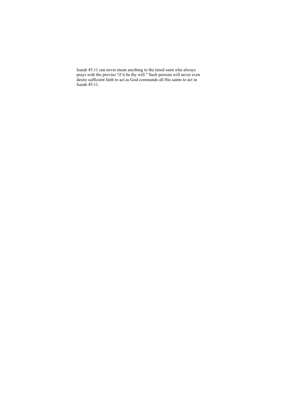Isaiah 45:11 can never mean anything to the timid saint who always prays with the proviso "if it be thy will." Such persons will never even desire sufficient faith to act as God commands all His saints to act in Isaiah 45:11.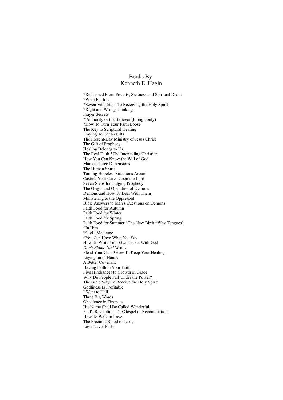## Books By Kenneth E. Hagin

\*Redeemed From Poverty, Sickness and Spiritual Death \*What Faith Is \*Seven Vital Steps To Receiving the Holy Spirit \*Right and Wrong Thinking Prayer Secrets \*'Authority of the Believer (foreign only) \*How To Turn Your Faith Loose The Key to Scriptural Healing Praying To Get Results The Present-Day Ministry of Jesus Christ The Gift of Prophecy Healing Belongs to Us The Real Faith \*The Interceding Christian How You Can Know the Will of God Man on Three Dimensions The Human Spirit Turning Hopeless Situations Around Casting Your Cares Upon the Lord Seven Steps for Judging Prophecy The Origin and Operation of Demons Demons and How To Deal With Them Ministering to the Oppressed Bible Answers to Man's Questions on Demons Faith Food for Autumn Faith Food for Winter Faith Food for Spring Faith Food for Summer \*The New Birth \*Why Tongues? \*In Him \*God's Medicine \*You Can Have What You Say How To Write Your Own Ticket With God *Don't Blame God* Words Plead Your Case \*How To Keep Your Healing Laying on of Hands A Better Covenant Having Faith in Your Faith Five Hindrances to Growth in Grace Why Do People Fall Under the Power? The Bible Way To Receive the Holy Spirit Godliness Is Profitable I Went to Hell Three Big Words Obedience in Finances His Name Shall Be Called Wonderful Paul's Revelation: The Gospel of Reconciliation How To Walk in Love The Precious Blood of Jesus Love Never Fails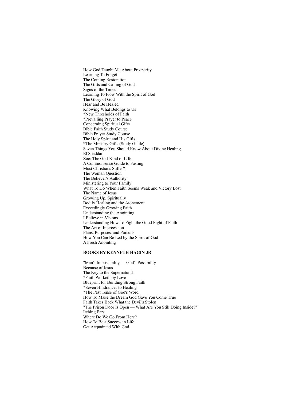How God Taught Me About Prosperity Learning To Forget The Coming Restoration The Gifts and Calling of God Signs of the Times Learning To Flow With the Spirit of God The Glory of God Hear and Be Healed Knowing What Belongs to Us \*New Thresholds of Faith \*Prevailing Prayer to Peace Concerning Spiritual Gifts Bible Faith Study Course Bible Prayer Study Course The Holy Spirit and His Gifts \*The Ministry Gifts (Study Guide) Seven Things You Should Know About Divine Healing El Shaddai Zoe: The God-Kind of Life A Commonsense Guide to Fasting Must Christians Suffer? The Woman Question The Believer's Authority Ministering to Your Family What To Do When Faith Seems Weak and Victory Lost The Name of Jesus Growing Up, Spiritually Bodily Healing and the Atonement Exceedingly Growing Faith Understanding the Anointing I Believe in Visions Understanding How To Fight the Good Fight of Faith The Art of Intercession Plans, Purposes, and Pursuits How You Can Be Led by the Spirit of God A Fresh Anointing

#### **BOOKS BY KENNETH HAGIN JR**

"Man's Impossibility — God's Possibility Because of Jesus The Key to the Supernatural \*Faith Worketh by Love Blueprint for Building Strong Faith \*Seven Hindrances to Healing \*The Past Tense of God's Word How To Make the Dream God Gave You Come True Faith Takes Back What the Devil's Stolen "The Prison Door Is Open — What Are You Still Doing Inside?" Itching Ears Where Do We Go From Here? How To Be a Success in Life Get Acquainted With God